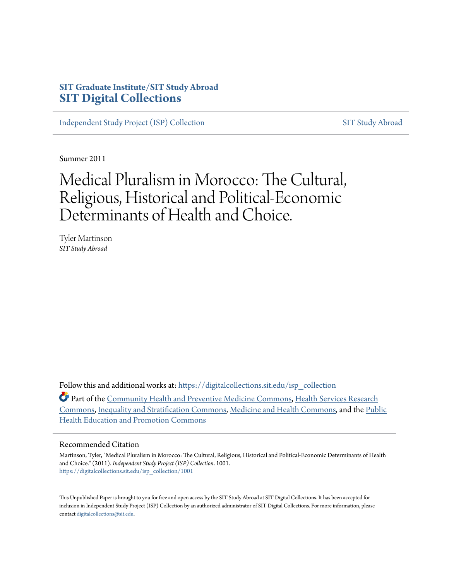# **SIT Graduate Institute/SIT Study Abroad [SIT Digital Collections](https://digitalcollections.sit.edu?utm_source=digitalcollections.sit.edu%2Fisp_collection%2F1001&utm_medium=PDF&utm_campaign=PDFCoverPages)**

[Independent Study Project \(ISP\) Collection](https://digitalcollections.sit.edu/isp_collection?utm_source=digitalcollections.sit.edu%2Fisp_collection%2F1001&utm_medium=PDF&utm_campaign=PDFCoverPages) [SIT Study Abroad](https://digitalcollections.sit.edu/study_abroad?utm_source=digitalcollections.sit.edu%2Fisp_collection%2F1001&utm_medium=PDF&utm_campaign=PDFCoverPages)

Summer 2011

# Medical Pluralism in Morocco: The Cultural, Religious, Historical and Political-Economic Determinants of Health and Choice.

Tyler Martinson *SIT Study Abroad*

Follow this and additional works at: [https://digitalcollections.sit.edu/isp\\_collection](https://digitalcollections.sit.edu/isp_collection?utm_source=digitalcollections.sit.edu%2Fisp_collection%2F1001&utm_medium=PDF&utm_campaign=PDFCoverPages)

Part of the [Community Health and Preventive Medicine Commons,](http://network.bepress.com/hgg/discipline/744?utm_source=digitalcollections.sit.edu%2Fisp_collection%2F1001&utm_medium=PDF&utm_campaign=PDFCoverPages) [Health Services Research](http://network.bepress.com/hgg/discipline/816?utm_source=digitalcollections.sit.edu%2Fisp_collection%2F1001&utm_medium=PDF&utm_campaign=PDFCoverPages) [Commons,](http://network.bepress.com/hgg/discipline/816?utm_source=digitalcollections.sit.edu%2Fisp_collection%2F1001&utm_medium=PDF&utm_campaign=PDFCoverPages) [Inequality and Stratification Commons,](http://network.bepress.com/hgg/discipline/421?utm_source=digitalcollections.sit.edu%2Fisp_collection%2F1001&utm_medium=PDF&utm_campaign=PDFCoverPages) [Medicine and Health Commons](http://network.bepress.com/hgg/discipline/422?utm_source=digitalcollections.sit.edu%2Fisp_collection%2F1001&utm_medium=PDF&utm_campaign=PDFCoverPages), and the [Public](http://network.bepress.com/hgg/discipline/743?utm_source=digitalcollections.sit.edu%2Fisp_collection%2F1001&utm_medium=PDF&utm_campaign=PDFCoverPages) [Health Education and Promotion Commons](http://network.bepress.com/hgg/discipline/743?utm_source=digitalcollections.sit.edu%2Fisp_collection%2F1001&utm_medium=PDF&utm_campaign=PDFCoverPages)

#### Recommended Citation

Martinson, Tyler, "Medical Pluralism in Morocco: The Cultural, Religious, Historical and Political-Economic Determinants of Health and Choice." (2011). *Independent Study Project (ISP) Collection*. 1001. [https://digitalcollections.sit.edu/isp\\_collection/1001](https://digitalcollections.sit.edu/isp_collection/1001?utm_source=digitalcollections.sit.edu%2Fisp_collection%2F1001&utm_medium=PDF&utm_campaign=PDFCoverPages)

This Unpublished Paper is brought to you for free and open access by the SIT Study Abroad at SIT Digital Collections. It has been accepted for inclusion in Independent Study Project (ISP) Collection by an authorized administrator of SIT Digital Collections. For more information, please contact [digitalcollections@sit.edu](mailto:digitalcollections@sit.edu).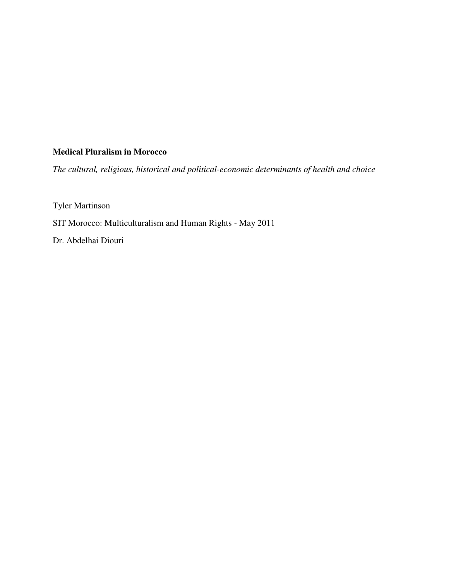# **Medical Pluralism in Morocco**

*The cultural, religious, historical and political-economic determinants of health and choice* 

Tyler Martinson

SIT Morocco: Multiculturalism and Human Rights - May 2011

Dr. Abdelhai Diouri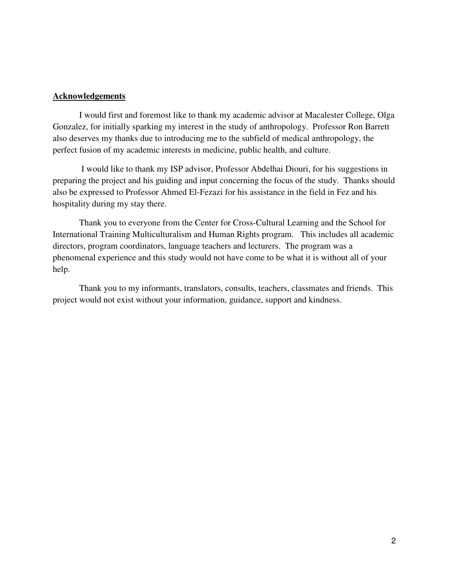# **Acknowledgements**

 I would first and foremost like to thank my academic advisor at Macalester College, Olga Gonzalez, for initially sparking my interest in the study of anthropology. Professor Ron Barrett also deserves my thanks due to introducing me to the subfield of medical anthropology, the perfect fusion of my academic interests in medicine, public health, and culture.

 I would like to thank my ISP advisor, Professor Abdelhai Diouri, for his suggestions in preparing the project and his guiding and input concerning the focus of the study. Thanks should also be expressed to Professor Ahmed El-Fezazi for his assistance in the field in Fez and his hospitality during my stay there.

 Thank you to everyone from the Center for Cross-Cultural Learning and the School for International Training Multiculturalism and Human Rights program. This includes all academic directors, program coordinators, language teachers and lecturers. The program was a phenomenal experience and this study would not have come to be what it is without all of your help.

 Thank you to my informants, translators, consults, teachers, classmates and friends. This project would not exist without your information, guidance, support and kindness.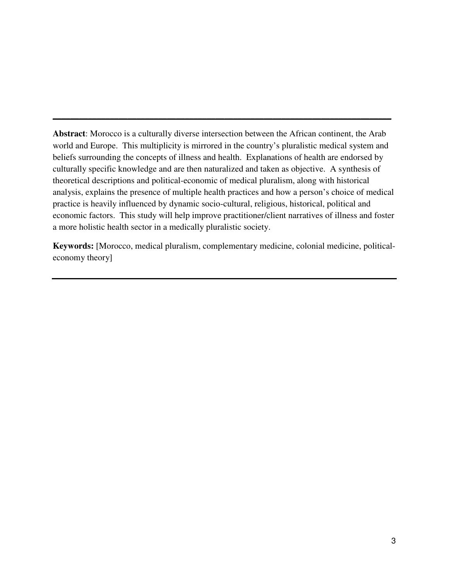**Abstract**: Morocco is a culturally diverse intersection between the African continent, the Arab world and Europe. This multiplicity is mirrored in the country's pluralistic medical system and beliefs surrounding the concepts of illness and health. Explanations of health are endorsed by culturally specific knowledge and are then naturalized and taken as objective. A synthesis of theoretical descriptions and political-economic of medical pluralism, along with historical analysis, explains the presence of multiple health practices and how a person's choice of medical practice is heavily influenced by dynamic socio-cultural, religious, historical, political and economic factors. This study will help improve practitioner/client narratives of illness and foster a more holistic health sector in a medically pluralistic society.

**\_\_\_\_\_\_\_\_\_\_\_\_\_\_\_\_\_\_\_\_\_\_\_\_\_\_\_\_\_\_\_\_\_\_\_\_\_\_\_\_\_\_\_\_\_\_\_\_\_\_\_\_\_\_\_\_\_\_\_\_\_\_\_\_\_\_\_\_\_\_\_\_\_\_\_\_\_**

**Keywords:** [Morocco, medical pluralism, complementary medicine, colonial medicine, politicaleconomy theory]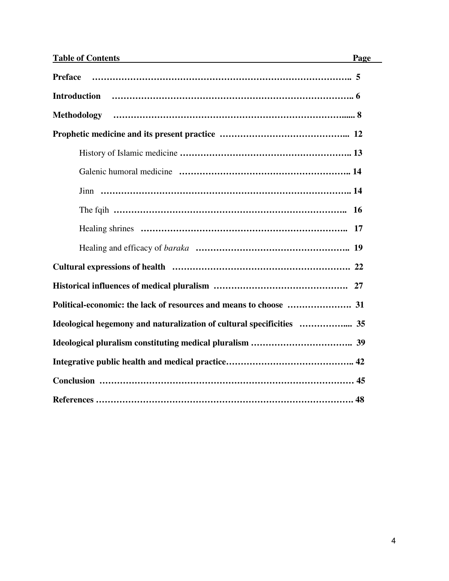| <b>Table of Contents</b> | Page |
|--------------------------|------|
| <b>Preface</b>           |      |
| <b>Introduction</b>      |      |
| <b>Methodology</b>       |      |
|                          |      |
|                          |      |
|                          |      |
|                          |      |
|                          |      |
|                          | 17   |
|                          |      |
|                          |      |
|                          | 27   |
|                          |      |
|                          |      |
|                          |      |
|                          |      |
|                          |      |
|                          |      |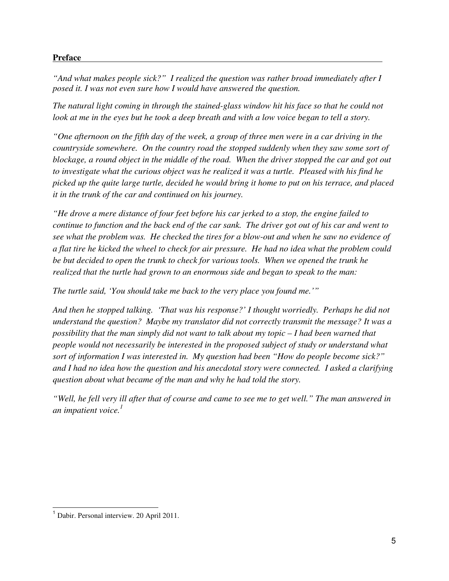# **Preface** -

*"And what makes people sick?" I realized the question was rather broad immediately after I posed it. I was not even sure how I would have answered the question.*

*The natural light coming in through the stained-glass window hit his face so that he could not look at me in the eyes but he took a deep breath and with a low voice began to tell a story.* 

*"One afternoon on the fifth day of the week, a group of three men were in a car driving in the countryside somewhere. On the country road the stopped suddenly when they saw some sort of blockage, a round object in the middle of the road. When the driver stopped the car and got out to investigate what the curious object was he realized it was a turtle. Pleased with his find he picked up the quite large turtle, decided he would bring it home to put on his terrace, and placed it in the trunk of the car and continued on his journey.* 

*"He drove a mere distance of four feet before his car jerked to a stop, the engine failed to continue to function and the back end of the car sank. The driver got out of his car and went to see what the problem was. He checked the tires for a blow-out and when he saw no evidence of a flat tire he kicked the wheel to check for air pressure. He had no idea what the problem could be but decided to open the trunk to check for various tools. When we opened the trunk he realized that the turtle had grown to an enormous side and began to speak to the man:* 

*The turtle said, 'You should take me back to the very place you found me.'"* 

*And then he stopped talking. 'That was his response?' I thought worriedly. Perhaps he did not understand the question? Maybe my translator did not correctly transmit the message? It was a possibility that the man simply did not want to talk about my topic – I had been warned that people would not necessarily be interested in the proposed subject of study or understand what sort of information I was interested in. My question had been "How do people become sick?" and I had no idea how the question and his anecdotal story were connected. I asked a clarifying question about what became of the man and why he had told the story.* 

*"Well, he fell very ill after that of course and came to see me to get well." The man answered in an impatient voice.<sup>1</sup>*

L

<sup>1</sup> Dabir. Personal interview. 20 April 2011.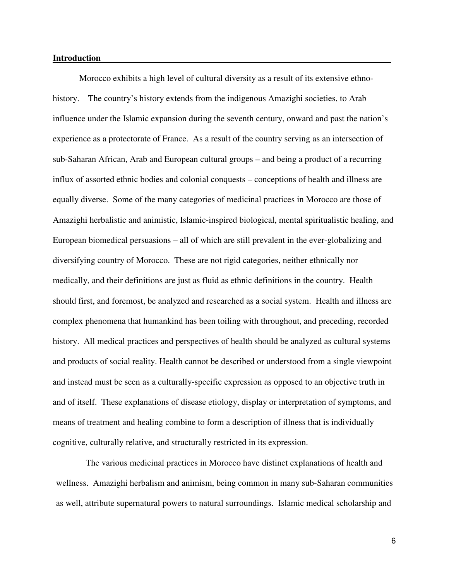#### **Introduction -**

Morocco exhibits a high level of cultural diversity as a result of its extensive ethnohistory. The country's history extends from the indigenous Amazighi societies, to Arab influence under the Islamic expansion during the seventh century, onward and past the nation's experience as a protectorate of France. As a result of the country serving as an intersection of sub-Saharan African, Arab and European cultural groups – and being a product of a recurring influx of assorted ethnic bodies and colonial conquests – conceptions of health and illness are equally diverse. Some of the many categories of medicinal practices in Morocco are those of Amazighi herbalistic and animistic, Islamic-inspired biological, mental spiritualistic healing, and European biomedical persuasions – all of which are still prevalent in the ever-globalizing and diversifying country of Morocco. These are not rigid categories, neither ethnically nor medically, and their definitions are just as fluid as ethnic definitions in the country. Health should first, and foremost, be analyzed and researched as a social system. Health and illness are complex phenomena that humankind has been toiling with throughout, and preceding, recorded history. All medical practices and perspectives of health should be analyzed as cultural systems and products of social reality. Health cannot be described or understood from a single viewpoint and instead must be seen as a culturally-specific expression as opposed to an objective truth in and of itself. These explanations of disease etiology, display or interpretation of symptoms, and means of treatment and healing combine to form a description of illness that is individually cognitive, culturally relative, and structurally restricted in its expression.

The various medicinal practices in Morocco have distinct explanations of health and wellness. Amazighi herbalism and animism, being common in many sub-Saharan communities as well, attribute supernatural powers to natural surroundings. Islamic medical scholarship and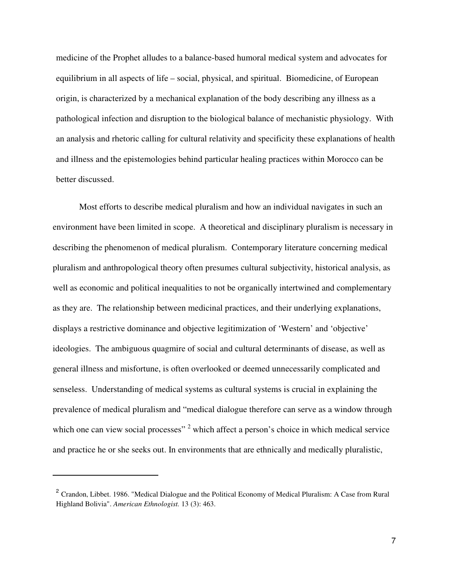medicine of the Prophet alludes to a balance-based humoral medical system and advocates for equilibrium in all aspects of life – social, physical, and spiritual. Biomedicine, of European origin, is characterized by a mechanical explanation of the body describing any illness as a pathological infection and disruption to the biological balance of mechanistic physiology. With an analysis and rhetoric calling for cultural relativity and specificity these explanations of health and illness and the epistemologies behind particular healing practices within Morocco can be better discussed.

Most efforts to describe medical pluralism and how an individual navigates in such an environment have been limited in scope. A theoretical and disciplinary pluralism is necessary in describing the phenomenon of medical pluralism. Contemporary literature concerning medical pluralism and anthropological theory often presumes cultural subjectivity, historical analysis, as well as economic and political inequalities to not be organically intertwined and complementary as they are. The relationship between medicinal practices, and their underlying explanations, displays a restrictive dominance and objective legitimization of 'Western' and 'objective' ideologies. The ambiguous quagmire of social and cultural determinants of disease, as well as general illness and misfortune, is often overlooked or deemed unnecessarily complicated and senseless. Understanding of medical systems as cultural systems is crucial in explaining the prevalence of medical pluralism and "medical dialogue therefore can serve as a window through which one can view social processes"  $2$  which affect a person's choice in which medical service and practice he or she seeks out. In environments that are ethnically and medically pluralistic,

 $\overline{a}$ 

<sup>&</sup>lt;sup>2</sup> Crandon, Libbet. 1986. "Medical Dialogue and the Political Economy of Medical Pluralism: A Case from Rural Highland Bolivia". *American Ethnologist.* 13 (3): 463.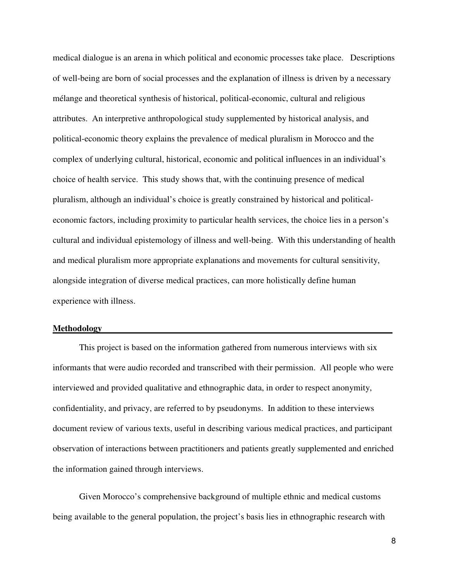medical dialogue is an arena in which political and economic processes take place.Descriptions of well-being are born of social processes and the explanation of illness is driven by a necessary mélange and theoretical synthesis of historical, political-economic, cultural and religious attributes.An interpretive anthropological study supplemented by historical analysis, and political-economic theory explains the prevalence of medical pluralism in Morocco and the complex of underlying cultural, historical, economic and political influences in an individual's choice of health service. This study shows that, with the continuing presence of medical pluralism, although an individual's choice is greatly constrained by historical and politicaleconomic factors, including proximity to particular health services, the choice lies in a person's cultural and individual epistemology of illness and well-being. With this understanding of health and medical pluralism more appropriate explanations and movements for cultural sensitivity, alongside integration of diverse medical practices, can more holistically define human experience with illness.

#### **Methodology -**

This project is based on the information gathered from numerous interviews with six informants that were audio recorded and transcribed with their permission. All people who were interviewed and provided qualitative and ethnographic data, in order to respect anonymity, confidentiality, and privacy, are referred to by pseudonyms. In addition to these interviews document review of various texts, useful in describing various medical practices, and participant observation of interactions between practitioners and patients greatly supplemented and enriched the information gained through interviews.

Given Morocco's comprehensive background of multiple ethnic and medical customs being available to the general population, the project's basis lies in ethnographic research with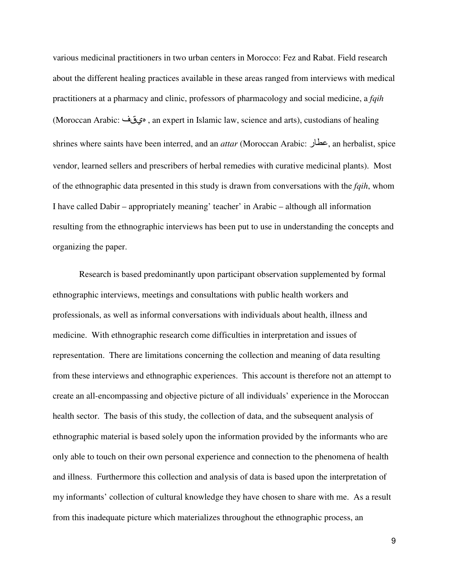various medicinal practitioners in two urban centers in Morocco: Fez and Rabat. Field research about the different healing practices available in these areas ranged from interviews with medical practitioners at a pharmacy and clinic, professors of pharmacology and social medicine, a *fqih* (Moroccan Arabic: يقف , an expert in Islamic law, science and arts), custodians of healing shrines where saints have been interred, and an *attar* (Moroccan Arabic: ر, an herbalist, spice vendor, learned sellers and prescribers of herbal remedies with curative medicinal plants). Most of the ethnographic data presented in this study is drawn from conversations with the *fqih*, whom I have called Dabir – appropriately meaning' teacher' in Arabic – although all information resulting from the ethnographic interviews has been put to use in understanding the concepts and organizing the paper.

Research is based predominantly upon participant observation supplemented by formal ethnographic interviews, meetings and consultations with public health workers and professionals, as well as informal conversations with individuals about health, illness and medicine. With ethnographic research come difficulties in interpretation and issues of representation. There are limitations concerning the collection and meaning of data resulting from these interviews and ethnographic experiences. This account is therefore not an attempt to create an all-encompassing and objective picture of all individuals' experience in the Moroccan health sector. The basis of this study, the collection of data, and the subsequent analysis of ethnographic material is based solely upon the information provided by the informants who are only able to touch on their own personal experience and connection to the phenomena of health and illness. Furthermore this collection and analysis of data is based upon the interpretation of my informants' collection of cultural knowledge they have chosen to share with me. As a result from this inadequate picture which materializes throughout the ethnographic process, an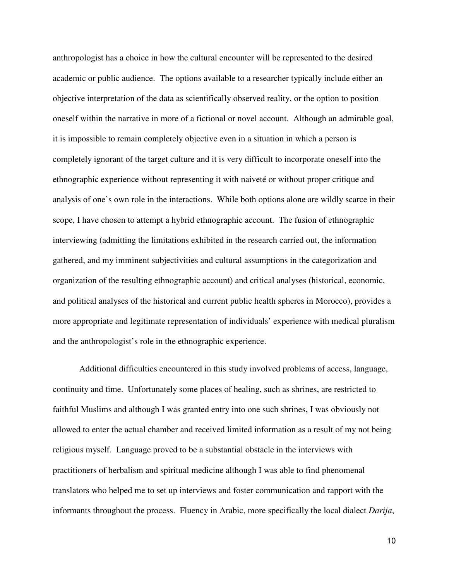anthropologist has a choice in how the cultural encounter will be represented to the desired academic or public audience. The options available to a researcher typically include either an objective interpretation of the data as scientifically observed reality, or the option to position oneself within the narrative in more of a fictional or novel account. Although an admirable goal, it is impossible to remain completely objective even in a situation in which a person is completely ignorant of the target culture and it is very difficult to incorporate oneself into the ethnographic experience without representing it with naiveté or without proper critique and analysis of one's own role in the interactions. While both options alone are wildly scarce in their scope, I have chosen to attempt a hybrid ethnographic account. The fusion of ethnographic interviewing (admitting the limitations exhibited in the research carried out, the information gathered, and my imminent subjectivities and cultural assumptions in the categorization and organization of the resulting ethnographic account) and critical analyses (historical, economic, and political analyses of the historical and current public health spheres in Morocco), provides a more appropriate and legitimate representation of individuals' experience with medical pluralism and the anthropologist's role in the ethnographic experience.

Additional difficulties encountered in this study involved problems of access, language, continuity and time. Unfortunately some places of healing, such as shrines, are restricted to faithful Muslims and although I was granted entry into one such shrines, I was obviously not allowed to enter the actual chamber and received limited information as a result of my not being religious myself. Language proved to be a substantial obstacle in the interviews with practitioners of herbalism and spiritual medicine although I was able to find phenomenal translators who helped me to set up interviews and foster communication and rapport with the informants throughout the process. Fluency in Arabic, more specifically the local dialect *Darija*,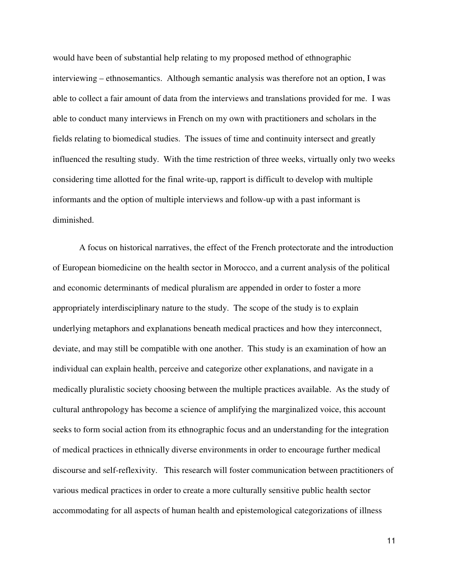would have been of substantial help relating to my proposed method of ethnographic interviewing – ethnosemantics. Although semantic analysis was therefore not an option, I was able to collect a fair amount of data from the interviews and translations provided for me. I was able to conduct many interviews in French on my own with practitioners and scholars in the fields relating to biomedical studies. The issues of time and continuity intersect and greatly influenced the resulting study. With the time restriction of three weeks, virtually only two weeks considering time allotted for the final write-up, rapport is difficult to develop with multiple informants and the option of multiple interviews and follow-up with a past informant is diminished.

A focus on historical narratives, the effect of the French protectorate and the introduction of European biomedicine on the health sector in Morocco, and a current analysis of the political and economic determinants of medical pluralism are appended in order to foster a more appropriately interdisciplinary nature to the study. The scope of the study is to explain underlying metaphors and explanations beneath medical practices and how they interconnect, deviate, and may still be compatible with one another. This study is an examination of how an individual can explain health, perceive and categorize other explanations, and navigate in a medically pluralistic society choosing between the multiple practices available. As the study of cultural anthropology has become a science of amplifying the marginalized voice, this account seeks to form social action from its ethnographic focus and an understanding for the integration of medical practices in ethnically diverse environments in order to encourage further medical discourse and self-reflexivity. This research will foster communication between practitioners of various medical practices in order to create a more culturally sensitive public health sector accommodating for all aspects of human health and epistemological categorizations of illness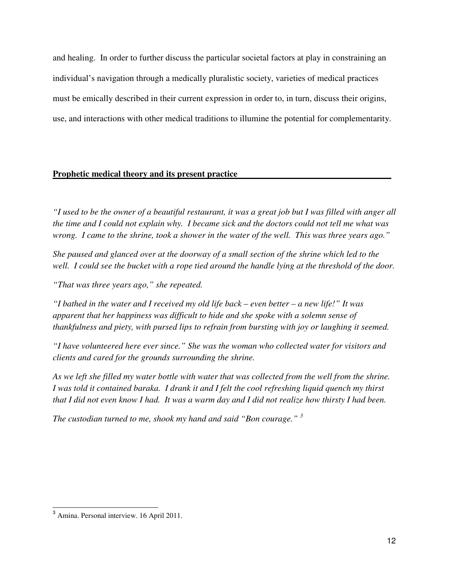and healing. In order to further discuss the particular societal factors at play in constraining an individual's navigation through a medically pluralistic society, varieties of medical practices must be emically described in their current expression in order to, in turn, discuss their origins, use, and interactions with other medical traditions to illumine the potential for complementarity.

# **Prophetic medical theory and its present practice -**

*"I used to be the owner of a beautiful restaurant, it was a great job but I was filled with anger all the time and I could not explain why. I became sick and the doctors could not tell me what was wrong. I came to the shrine, took a shower in the water of the well. This was three years ago."* 

*She paused and glanced over at the doorway of a small section of the shrine which led to the well. I could see the bucket with a rope tied around the handle lying at the threshold of the door.* 

*"That was three years ago," she repeated.* 

*"I bathed in the water and I received my old life back – even better – a new life!" It was apparent that her happiness was difficult to hide and she spoke with a solemn sense of thankfulness and piety, with pursed lips to refrain from bursting with joy or laughing it seemed.* 

*"I have volunteered here ever since." She was the woman who collected water for visitors and clients and cared for the grounds surrounding the shrine.* 

*As we left she filled my water bottle with water that was collected from the well from the shrine. I was told it contained baraka. I drank it and I felt the cool refreshing liquid quench my thirst that I did not even know I had. It was a warm day and I did not realize how thirsty I had been.* 

*The custodian turned to me, shook my hand and said "Bon courage." <sup>3</sup>*

L

<sup>&</sup>lt;sup>3</sup> Amina. Personal interview. 16 April 2011.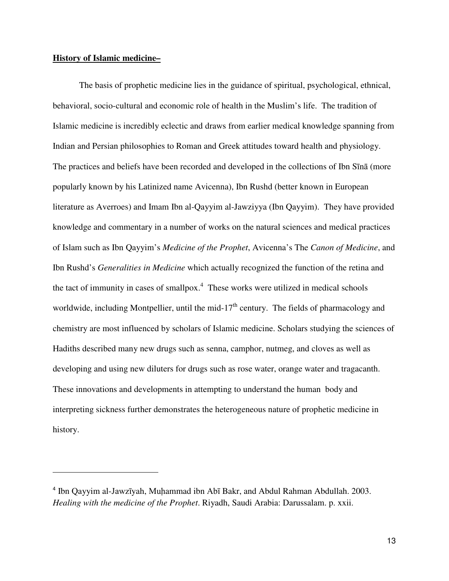# **History of Islamic medicine–**

 $\overline{a}$ 

The basis of prophetic medicine lies in the guidance of spiritual, psychological, ethnical, behavioral, socio-cultural and economic role of health in the Muslim's life. The tradition of Islamic medicine is incredibly eclectic and draws from earlier medical knowledge spanning from Indian and Persian philosophies to Roman and Greek attitudes toward health and physiology. The practices and beliefs have been recorded and developed in the collections of Ibn Sīnā (more popularly known by his Latinized name Avicenna), Ibn Rushd (better known in European literature as Averroes) and Imam Ibn al-Qayyim al-Jawziyya (Ibn Qayyim). They have provided knowledge and commentary in a number of works on the natural sciences and medical practices of Islam such as Ibn Qayyim's *Medicine of the Prophet*, Avicenna's The *Canon of Medicine*, and Ibn Rushd's *Generalities in Medicine* which actually recognized the function of the retina and the tact of immunity in cases of smallpox. $4$  These works were utilized in medical schools worldwide, including Montpellier, until the mid- $17<sup>th</sup>$  century. The fields of pharmacology and chemistry are most influenced by scholars of Islamic medicine. Scholars studying the sciences of Hadiths described many new drugs such as senna, camphor, nutmeg, and cloves as well as developing and using new diluters for drugs such as rose water, orange water and tragacanth. These innovations and developments in attempting to understand the human body and interpreting sickness further demonstrates the heterogeneous nature of prophetic medicine in history.

<sup>4</sup> Ibn Qayyim al-Jawzīyah, Muhammad ibn Abī Bakr, and Abdul Rahman Abdullah. 2003. *Healing with the medicine of the Prophet*. Riyadh, Saudi Arabia: Darussalam. p. xxii.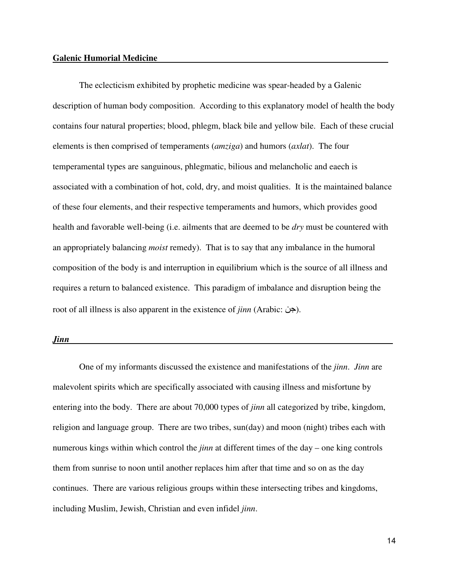#### **Galenic Humorial Medicine -**

The eclecticism exhibited by prophetic medicine was spear-headed by a Galenic description of human body composition. According to this explanatory model of health the body contains four natural properties; blood, phlegm, black bile and yellow bile. Each of these crucial elements is then comprised of temperaments (*amziga*) and humors (*axlat*). The four temperamental types are sanguinous, phlegmatic, bilious and melancholic and eaech is associated with a combination of hot, cold, dry, and moist qualities. It is the maintained balance of these four elements, and their respective temperaments and humors, which provides good health and favorable well-being (i.e. ailments that are deemed to be *dry* must be countered with an appropriately balancing *moist* remedy). That is to say that any imbalance in the humoral composition of the body is and interruption in equilibrium which is the source of all illness and requires a return to balanced existence. This paradigm of imbalance and disruption being the root of all illness is also apparent in the existence of *jinn* (Arabic: ).

### *Jinn -*

One of my informants discussed the existence and manifestations of the *jinn*. *Jinn* are malevolent spirits which are specifically associated with causing illness and misfortune by entering into the body. There are about 70,000 types of *jinn* all categorized by tribe, kingdom, religion and language group. There are two tribes, sun(day) and moon (night) tribes each with numerous kings within which control the *jinn* at different times of the day – one king controls them from sunrise to noon until another replaces him after that time and so on as the day continues. There are various religious groups within these intersecting tribes and kingdoms, including Muslim, Jewish, Christian and even infidel *jinn*.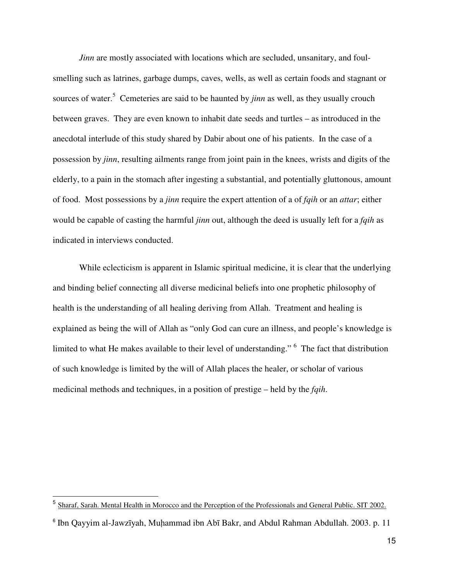*Jinn* are mostly associated with locations which are secluded, unsanitary, and foulsmelling such as latrines, garbage dumps, caves, wells, as well as certain foods and stagnant or sources of water.<sup>5</sup> Cemeteries are said to be haunted by *jinn* as well, as they usually crouch between graves. They are even known to inhabit date seeds and turtles – as introduced in the anecdotal interlude of this study shared by Dabir about one of his patients. In the case of a possession by *jinn*, resulting ailments range from joint pain in the knees, wrists and digits of the elderly, to a pain in the stomach after ingesting a substantial, and potentially gluttonous, amount of food. Most possessions by a *jinn* require the expert attention of a of *fqih* or an *attar*; either would be capable of casting the harmful *jinn* out, although the deed is usually left for a *fqih* as indicated in interviews conducted.

 While eclecticism is apparent in Islamic spiritual medicine, it is clear that the underlying and binding belief connecting all diverse medicinal beliefs into one prophetic philosophy of health is the understanding of all healing deriving from Allah. Treatment and healing is explained as being the will of Allah as "only God can cure an illness, and people's knowledge is limited to what He makes available to their level of understanding." <sup>6</sup> The fact that distribution of such knowledge is limited by the will of Allah places the healer, or scholar of various medicinal methods and techniques, in a position of prestige – held by the *fqih*.

l.

<sup>&</sup>lt;sup>5</sup> Sharaf, Sarah. Mental Health in Morocco and the Perception of the Professionals and General Public. SIT 2002.

<sup>6</sup> Ibn Qayyim al-Jawzīyah, Muhammad ibn Abī Bakr, and Abdul Rahman Abdullah. 2003. p. 11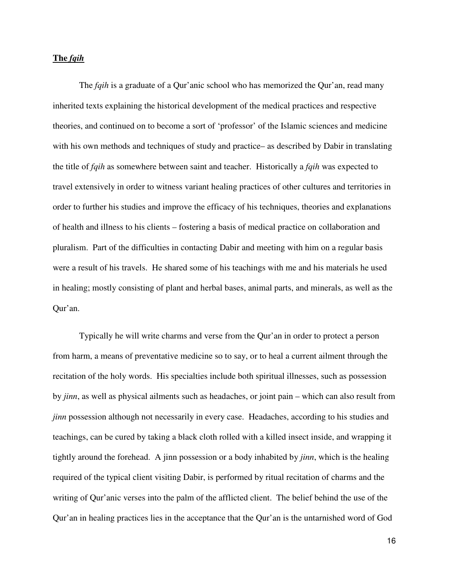# **The** *fqih*

The *fqih* is a graduate of a Qur'anic school who has memorized the Qur'an, read many inherited texts explaining the historical development of the medical practices and respective theories, and continued on to become a sort of 'professor' of the Islamic sciences and medicine with his own methods and techniques of study and practice– as described by Dabir in translating the title of *fqih* as somewhere between saint and teacher. Historically a *fqih* was expected to travel extensively in order to witness variant healing practices of other cultures and territories in order to further his studies and improve the efficacy of his techniques, theories and explanations of health and illness to his clients – fostering a basis of medical practice on collaboration and pluralism. Part of the difficulties in contacting Dabir and meeting with him on a regular basis were a result of his travels. He shared some of his teachings with me and his materials he used in healing; mostly consisting of plant and herbal bases, animal parts, and minerals, as well as the Qur'an.

Typically he will write charms and verse from the Qur'an in order to protect a person from harm, a means of preventative medicine so to say, or to heal a current ailment through the recitation of the holy words. His specialties include both spiritual illnesses, such as possession by *jinn*, as well as physical ailments such as headaches, or joint pain – which can also result from *jinn* possession although not necessarily in every case. Headaches, according to his studies and teachings, can be cured by taking a black cloth rolled with a killed insect inside, and wrapping it tightly around the forehead. A jinn possession or a body inhabited by *jinn*, which is the healing required of the typical client visiting Dabir, is performed by ritual recitation of charms and the writing of Qur'anic verses into the palm of the afflicted client. The belief behind the use of the Qur'an in healing practices lies in the acceptance that the Qur'an is the untarnished word of God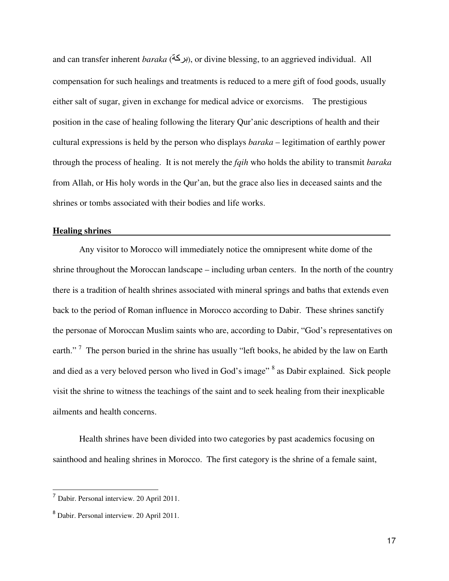and can transfer inherent *baraka* (بركة), or divine blessing, to an aggrieved individual. All compensation for such healings and treatments is reduced to a mere gift of food goods, usually either salt of sugar, given in exchange for medical advice or exorcisms. The prestigious position in the case of healing following the literary Qur'anic descriptions of health and their cultural expressions is held by the person who displays *baraka* – legitimation of earthly power through the process of healing. It is not merely the *fqih* who holds the ability to transmit *baraka*  from Allah, or His holy words in the Qur'an, but the grace also lies in deceased saints and the shrines or tombs associated with their bodies and life works.

## **Healing shrines -**

Any visitor to Morocco will immediately notice the omnipresent white dome of the shrine throughout the Moroccan landscape – including urban centers. In the north of the country there is a tradition of health shrines associated with mineral springs and baths that extends even back to the period of Roman influence in Morocco according to Dabir. These shrines sanctify the personae of Moroccan Muslim saints who are, according to Dabir, "God's representatives on earth."<sup>7</sup> The person buried in the shrine has usually "left books, he abided by the law on Earth and died as a very beloved person who lived in God's image" <sup>8</sup> as Dabir explained. Sick people visit the shrine to witness the teachings of the saint and to seek healing from their inexplicable ailments and health concerns.

 Health shrines have been divided into two categories by past academics focusing on sainthood and healing shrines in Morocco. The first category is the shrine of a female saint,

 $\overline{a}$ 

<sup>7</sup> Dabir. Personal interview. 20 April 2011.

<sup>8</sup> Dabir. Personal interview. 20 April 2011.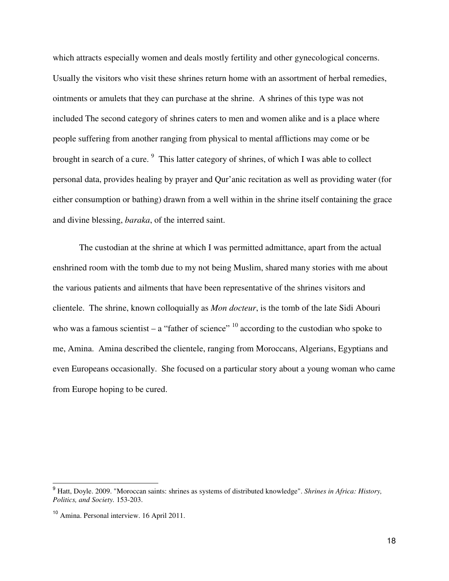which attracts especially women and deals mostly fertility and other gynecological concerns. Usually the visitors who visit these shrines return home with an assortment of herbal remedies, ointments or amulets that they can purchase at the shrine. A shrines of this type was not included The second category of shrines caters to men and women alike and is a place where people suffering from another ranging from physical to mental afflictions may come or be brought in search of a cure. <sup>9</sup> This latter category of shrines, of which I was able to collect personal data, provides healing by prayer and Qur'anic recitation as well as providing water (for either consumption or bathing) drawn from a well within in the shrine itself containing the grace and divine blessing, *baraka*, of the interred saint.

 The custodian at the shrine at which I was permitted admittance, apart from the actual enshrined room with the tomb due to my not being Muslim, shared many stories with me about the various patients and ailments that have been representative of the shrines visitors and clientele. The shrine, known colloquially as *Mon docteur*, is the tomb of the late Sidi Abouri who was a famous scientist – a "father of science"  $^{10}$  according to the custodian who spoke to me, Amina. Amina described the clientele, ranging from Moroccans, Algerians, Egyptians and even Europeans occasionally. She focused on a particular story about a young woman who came from Europe hoping to be cured.

l.

<sup>9</sup> Hatt, Doyle. 2009. "Moroccan saints: shrines as systems of distributed knowledge". *Shrines in Africa: History, Politics, and Society.* 153-203.

<sup>10</sup> Amina. Personal interview. 16 April 2011.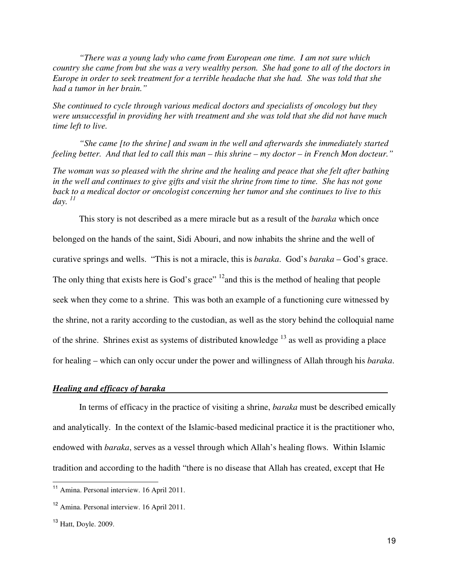*"There was a young lady who came from European one time. I am not sure which country she came from but she was a very wealthy person. She had gone to all of the doctors in Europe in order to seek treatment for a terrible headache that she had. She was told that she had a tumor in her brain."* 

*She continued to cycle through various medical doctors and specialists of oncology but they were unsuccessful in providing her with treatment and she was told that she did not have much time left to live.* 

 *"She came [to the shrine] and swam in the well and afterwards she immediately started feeling better. And that led to call this man – this shrine – my doctor – in French Mon docteur."* 

*The woman was so pleased with the shrine and the healing and peace that she felt after bathing in the well and continues to give gifts and visit the shrine from time to time. She has not gone back to a medical doctor or oncologist concerning her tumor and she continues to live to this day. <sup>11</sup>*

 This story is not described as a mere miracle but as a result of the *baraka* which once belonged on the hands of the saint, Sidi Abouri, and now inhabits the shrine and the well of curative springs and wells. "This is not a miracle, this is *baraka*. God's *baraka* – God's grace. The only thing that exists here is God's grace"  $^{12}$  and this is the method of healing that people seek when they come to a shrine. This was both an example of a functioning cure witnessed by the shrine, not a rarity according to the custodian, as well as the story behind the colloquial name of the shrine. Shrines exist as systems of distributed knowledge  $^{13}$  as well as providing a place for healing – which can only occur under the power and willingness of Allah through his *baraka*.

# *Healing and efficacy of baraka -*

In terms of efficacy in the practice of visiting a shrine, *baraka* must be described emically and analytically. In the context of the Islamic-based medicinal practice it is the practitioner who, endowed with *baraka*, serves as a vessel through which Allah's healing flows. Within Islamic tradition and according to the hadith "there is no disease that Allah has created, except that He

 $\overline{a}$ 

<sup>11</sup> Amina. Personal interview. 16 April 2011.

<sup>12</sup> Amina. Personal interview. 16 April 2011.

<sup>13</sup> Hatt, Doyle. 2009.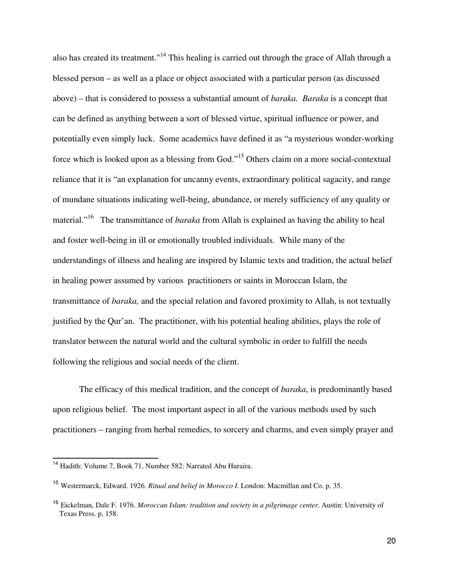also has created its treatment."<sup>14</sup> This healing is carried out through the grace of Allah through a blessed person – as well as a place or object associated with a particular person (as discussed above) – that is considered to possess a substantial amount of *baraka. Baraka* is a concept that can be defined as anything between a sort of blessed virtue, spiritual influence or power, and potentially even simply luck. Some academics have defined it as "a mysterious wonder-working force which is looked upon as a blessing from God."<sup>15</sup> Others claim on a more social-contextual reliance that it is "an explanation for uncanny events, extraordinary political sagacity, and range of mundane situations indicating well-being, abundance, or merely sufficiency of any quality or material."<sup>16</sup> The transmittance of *baraka* from Allah is explained as having the ability to heal and foster well-being in ill or emotionally troubled individuals. While many of the understandings of illness and healing are inspired by Islamic texts and tradition, the actual belief in healing power assumed by various practitioners or saints in Moroccan Islam, the transmittance of *baraka,* and the special relation and favored proximity to Allah, is not textually justified by the Qur'an. The practitioner, with his potential healing abilities, plays the role of translator between the natural world and the cultural symbolic in order to fulfill the needs following the religious and social needs of the client.

The efficacy of this medical tradition, and the concept of *baraka*, is predominantly based upon religious belief. The most important aspect in all of the various methods used by such practitioners – ranging from herbal remedies, to sorcery and charms, and even simply prayer and

l.

<sup>14</sup> Hadith: Volume 7, Book 71, Number 582: Narrated Abu Huraira.

<sup>15</sup> Westermarck, Edward. 1926. *Ritual and belief in Morocco I*. London: Macmillan and Co. p, 35.

<sup>16</sup> Eickelman, Dale F. 1976. *Moroccan Islam: tradition and society in a pilgrimage center*. Austin: University of Texas Press. p, 158.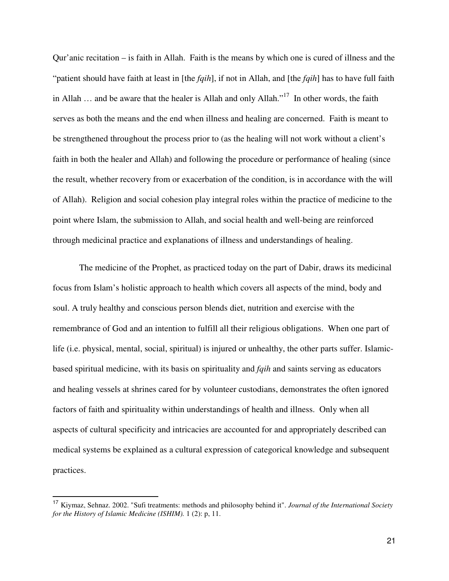Qur'anic recitation – is faith in Allah. Faith is the means by which one is cured of illness and the "patient should have faith at least in [the *fqih*], if not in Allah, and [the *fqih*] has to have full faith in Allah  $\ldots$  and be aware that the healer is Allah and only Allah."<sup>17</sup> In other words, the faith serves as both the means and the end when illness and healing are concerned. Faith is meant to be strengthened throughout the process prior to (as the healing will not work without a client's faith in both the healer and Allah) and following the procedure or performance of healing (since the result, whether recovery from or exacerbation of the condition, is in accordance with the will of Allah). Religion and social cohesion play integral roles within the practice of medicine to the point where Islam, the submission to Allah, and social health and well-being are reinforced through medicinal practice and explanations of illness and understandings of healing.

 The medicine of the Prophet, as practiced today on the part of Dabir, draws its medicinal focus from Islam's holistic approach to health which covers all aspects of the mind, body and soul. A truly healthy and conscious person blends diet, nutrition and exercise with the remembrance of God and an intention to fulfill all their religious obligations. When one part of life (i.e. physical, mental, social, spiritual) is injured or unhealthy, the other parts suffer. Islamicbased spiritual medicine, with its basis on spirituality and *fqih* and saints serving as educators and healing vessels at shrines cared for by volunteer custodians, demonstrates the often ignored factors of faith and spirituality within understandings of health and illness. Only when all aspects of cultural specificity and intricacies are accounted for and appropriately described can medical systems be explained as a cultural expression of categorical knowledge and subsequent practices.

l.

<sup>17</sup> Kiymaz, Sehnaz. 2002. "Sufi treatments: methods and philosophy behind it". *Journal of the International Society for the History of Islamic Medicine (ISHIM).* 1 (2): p, 11.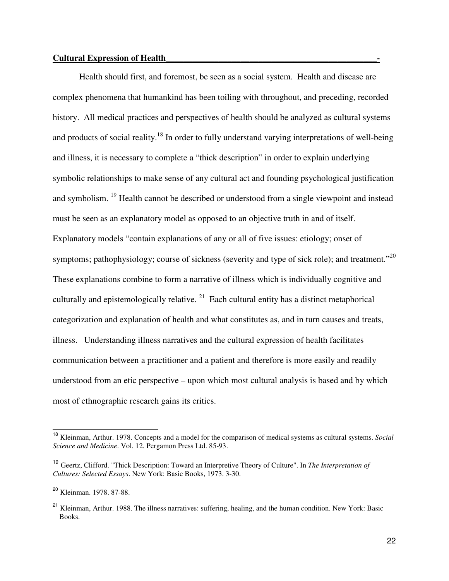Health should first, and foremost, be seen as a social system. Health and disease are complex phenomena that humankind has been toiling with throughout, and preceding, recorded history. All medical practices and perspectives of health should be analyzed as cultural systems and products of social reality.<sup>18</sup> In order to fully understand varying interpretations of well-being and illness, it is necessary to complete a "thick description" in order to explain underlying symbolic relationships to make sense of any cultural act and founding psychological justification and symbolism. <sup>19</sup> Health cannot be described or understood from a single viewpoint and instead must be seen as an explanatory model as opposed to an objective truth in and of itself. Explanatory models "contain explanations of any or all of five issues: etiology; onset of symptoms; pathophysiology; course of sickness (severity and type of sick role); and treatment."<sup>20</sup> These explanations combine to form a narrative of illness which is individually cognitive and culturally and epistemologically relative.<sup>21</sup> Each cultural entity has a distinct metaphorical categorization and explanation of health and what constitutes as, and in turn causes and treats, illness. Understanding illness narratives and the cultural expression of health facilitates communication between a practitioner and a patient and therefore is more easily and readily understood from an etic perspective – upon which most cultural analysis is based and by which most of ethnographic research gains its critics.

 $\overline{a}$ 

<sup>18</sup> Kleinman, Arthur. 1978. Concepts and a model for the comparison of medical systems as cultural systems. *Social Science and Medicine*. Vol. 12. Pergamon Press Ltd. 85-93.

<sup>19</sup> Geertz, Clifford. "Thick Description: Toward an Interpretive Theory of Culture". In *The Interpretation of Cultures: Selected Essays*. New York: Basic Books, 1973. 3-30.

<sup>20</sup> Kleinman. 1978. 87-88.

<sup>&</sup>lt;sup>21</sup> Kleinman, Arthur. 1988. The illness narratives: suffering, healing, and the human condition. New York: Basic Books.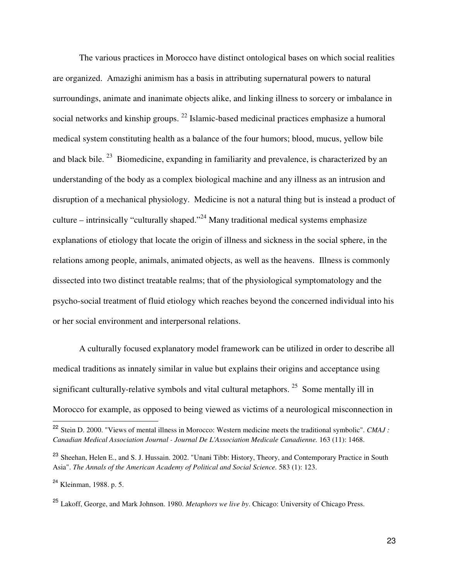The various practices in Morocco have distinct ontological bases on which social realities are organized. Amazighi animism has a basis in attributing supernatural powers to natural surroundings, animate and inanimate objects alike, and linking illness to sorcery or imbalance in social networks and kinship groups. <sup>22</sup> Islamic-based medicinal practices emphasize a humoral medical system constituting health as a balance of the four humors; blood, mucus, yellow bile and black bile. <sup>23</sup> Biomedicine, expanding in familiarity and prevalence, is characterized by an understanding of the body as a complex biological machine and any illness as an intrusion and disruption of a mechanical physiology. Medicine is not a natural thing but is instead a product of culture – intrinsically "culturally shaped."<sup>24</sup> Many traditional medical systems emphasize explanations of etiology that locate the origin of illness and sickness in the social sphere, in the relations among people, animals, animated objects, as well as the heavens. Illness is commonly dissected into two distinct treatable realms; that of the physiological symptomatology and the psycho-social treatment of fluid etiology which reaches beyond the concerned individual into his or her social environment and interpersonal relations.

A culturally focused explanatory model framework can be utilized in order to describe all medical traditions as innately similar in value but explains their origins and acceptance using significant culturally-relative symbols and vital cultural metaphors. <sup>25</sup> Some mentally ill in Morocco for example, as opposed to being viewed as victims of a neurological misconnection in

l.

<sup>22</sup> Stein D. 2000. "Views of mental illness in Morocco: Western medicine meets the traditional symbolic". *CMAJ : Canadian Medical Association Journal - Journal De L'Association Medicale Canadienne.* 163 (11): 1468.

<sup>&</sup>lt;sup>23</sup> Sheehan, Helen E., and S. J. Hussain. 2002. "Unani Tibb: History, Theory, and Contemporary Practice in South Asia". *The Annals of the American Academy of Political and Social Science.* 583 (1): 123.

<sup>&</sup>lt;sup>24</sup> Kleinman, 1988. p. 5.

<sup>25</sup> Lakoff, George, and Mark Johnson. 1980. *Metaphors we live by*. Chicago: University of Chicago Press.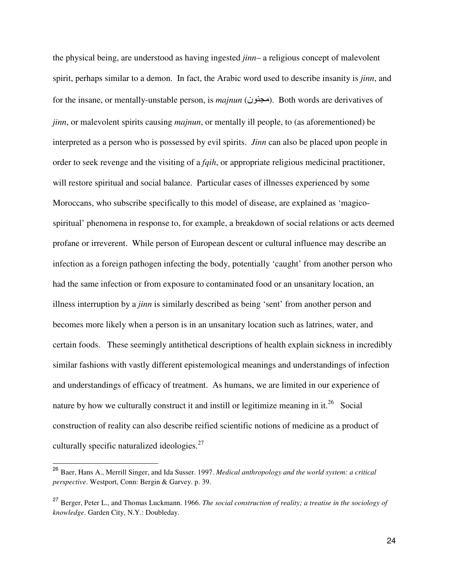the physical being, are understood as having ingested *jinn*– a religious concept of malevolent spirit, perhaps similar to a demon. In fact, the Arabic word used to describe insanity is *jinn*, and for the insane, or mentally-unstable person, is *majnun* (مجنون). Both words are derivatives of *jinn*, or malevolent spirits causing *majnun*, or mentally ill people, to (as aforementioned) be interpreted as a person who is possessed by evil spirits. *Jinn* can also be placed upon people in order to seek revenge and the visiting of a *fqih*, or appropriate religious medicinal practitioner, will restore spiritual and social balance. Particular cases of illnesses experienced by some Moroccans, who subscribe specifically to this model of disease, are explained as 'magicospiritual' phenomena in response to, for example, a breakdown of social relations or acts deemed profane or irreverent. While person of European descent or cultural influence may describe an infection as a foreign pathogen infecting the body, potentially 'caught' from another person who had the same infection or from exposure to contaminated food or an unsanitary location, an illness interruption by a *jinn* is similarly described as being 'sent' from another person and becomes more likely when a person is in an unsanitary location such as latrines, water, and certain foods. These seemingly antithetical descriptions of health explain sickness in incredibly similar fashions with vastly different epistemological meanings and understandings of infection and understandings of efficacy of treatment. As humans, we are limited in our experience of nature by how we culturally construct it and instill or legitimize meaning in it.<sup>26</sup> Social construction of reality can also describe reified scientific notions of medicine as a product of culturally specific naturalized ideologies. $27$ 

l.

<sup>26</sup> Baer, Hans A., Merrill Singer, and Ida Susser. 1997. *Medical anthropology and the world system: a critical perspective*. Westport, Conn: Bergin & Garvey. p. 39.

<sup>27</sup> Berger, Peter L., and Thomas Luckmann. 1966. *The social construction of reality; a treatise in the sociology of knowledge*. Garden City, N.Y.: Doubleday.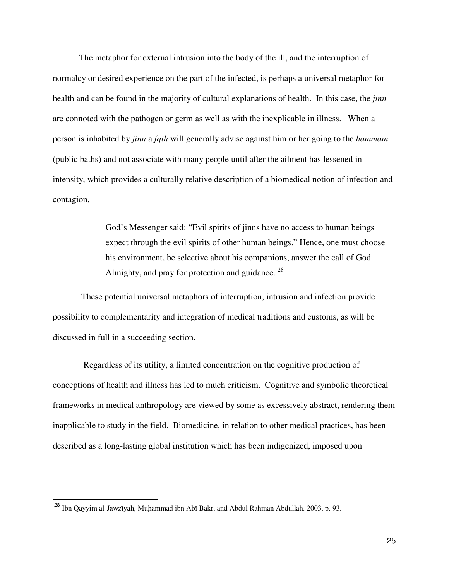The metaphor for external intrusion into the body of the ill, and the interruption of normalcy or desired experience on the part of the infected, is perhaps a universal metaphor for health and can be found in the majority of cultural explanations of health. In this case, the *jinn*  are connoted with the pathogen or germ as well as with the inexplicable in illness. When a person is inhabited by *jinn* a *fqih* will generally advise against him or her going to the *hammam* (public baths) and not associate with many people until after the ailment has lessened in intensity, which provides a culturally relative description of a biomedical notion of infection and contagion.

> God's Messenger said: "Evil spirits of jinns have no access to human beings expect through the evil spirits of other human beings." Hence, one must choose his environment, be selective about his companions, answer the call of God Almighty, and pray for protection and guidance.  $^{28}$

 These potential universal metaphors of interruption, intrusion and infection provide possibility to complementarity and integration of medical traditions and customs, as will be discussed in full in a succeeding section.

 Regardless of its utility, a limited concentration on the cognitive production of conceptions of health and illness has led to much criticism. Cognitive and symbolic theoretical frameworks in medical anthropology are viewed by some as excessively abstract, rendering them inapplicable to study in the field. Biomedicine, in relation to other medical practices, has been described as a long-lasting global institution which has been indigenized, imposed upon

 $\overline{a}$ 

<sup>28</sup> Ibn Qayyim al-Jawzīyah, Muhammad ibn Abī Bakr, and Abdul Rahman Abdullah. 2003. p. 93.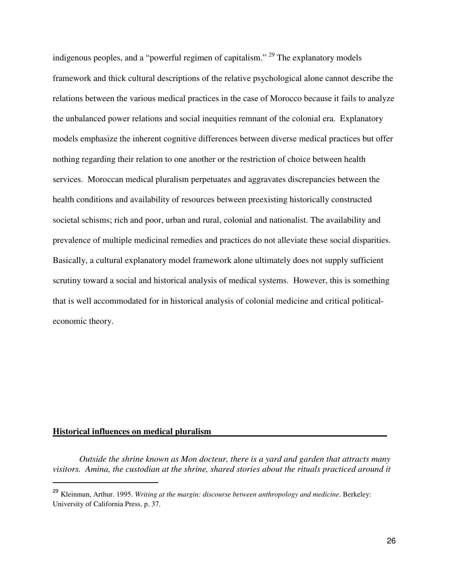indigenous peoples, and a "powerful regimen of capitalism." <sup>29</sup> The explanatory models framework and thick cultural descriptions of the relative psychological alone cannot describe the relations between the various medical practices in the case of Morocco because it fails to analyze the unbalanced power relations and social inequities remnant of the colonial era. Explanatory models emphasize the inherent cognitive differences between diverse medical practices but offer nothing regarding their relation to one another or the restriction of choice between health services. Moroccan medical pluralism perpetuates and aggravates discrepancies between the health conditions and availability of resources between preexisting historically constructed societal schisms; rich and poor, urban and rural, colonial and nationalist. The availability and prevalence of multiple medicinal remedies and practices do not alleviate these social disparities. Basically, a cultural explanatory model framework alone ultimately does not supply sufficient scrutiny toward a social and historical analysis of medical systems. However, this is something that is well accommodated for in historical analysis of colonial medicine and critical politicaleconomic theory.

# **Historical influences on medical pluralism**

L

 *Outside the shrine known as Mon docteur, there is a yard and garden that attracts many visitors. Amina, the custodian at the shrine, shared stories about the rituals practiced around it* 

<sup>29</sup> Kleinman, Arthur. 1995. *Writing at the margin: discourse between anthropology and medicine*. Berkeley: University of California Press. p. 37.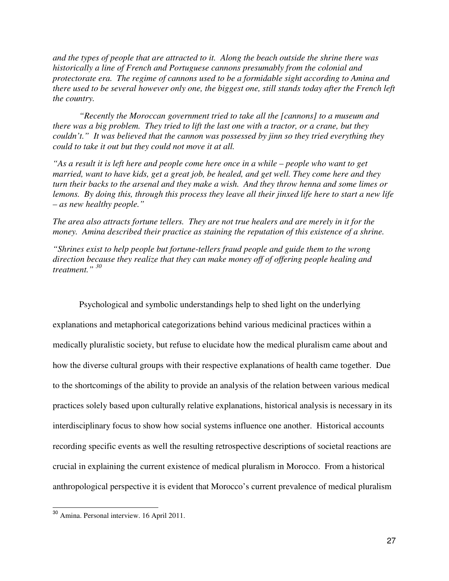*and the types of people that are attracted to it. Along the beach outside the shrine there was historically a line of French and Portuguese cannons presumably from the colonial and protectorate era. The regime of cannons used to be a formidable sight according to Amina and there used to be several however only one, the biggest one, still stands today after the French left the country.* 

 *"Recently the Moroccan government tried to take all the [cannons] to a museum and there was a big problem. They tried to lift the last one with a tractor, or a crane, but they couldn't." It was believed that the cannon was possessed by jinn so they tried everything they could to take it out but they could not move it at all.* 

*"As a result it is left here and people come here once in a while – people who want to get married, want to have kids, get a great job, be healed, and get well. They come here and they turn their backs to the arsenal and they make a wish. And they throw henna and some limes or lemons. By doing this, through this process they leave all their jinxed life here to start a new life – as new healthy people."* 

*The area also attracts fortune tellers. They are not true healers and are merely in it for the money. Amina described their practice as staining the reputation of this existence of a shrine.* 

*"Shrines exist to help people but fortune-tellers fraud people and guide them to the wrong direction because they realize that they can make money off of offering people healing and treatment." <sup>30</sup>*

Psychological and symbolic understandings help to shed light on the underlying explanations and metaphorical categorizations behind various medicinal practices within a medically pluralistic society, but refuse to elucidate how the medical pluralism came about and how the diverse cultural groups with their respective explanations of health came together. Due to the shortcomings of the ability to provide an analysis of the relation between various medical practices solely based upon culturally relative explanations, historical analysis is necessary in its interdisciplinary focus to show how social systems influence one another. Historical accounts recording specific events as well the resulting retrospective descriptions of societal reactions are crucial in explaining the current existence of medical pluralism in Morocco. From a historical anthropological perspective it is evident that Morocco's current prevalence of medical pluralism

L

<sup>30</sup> Amina. Personal interview. 16 April 2011.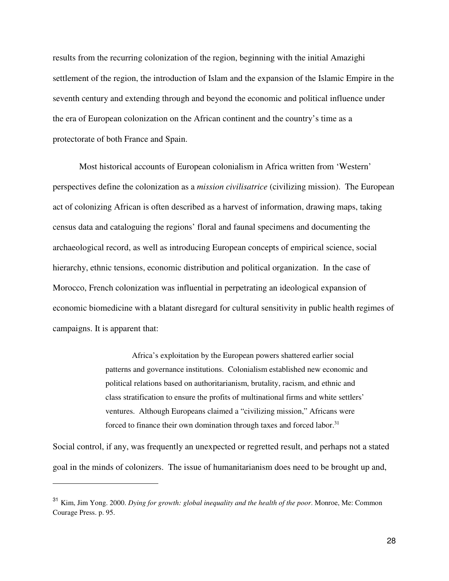results from the recurring colonization of the region, beginning with the initial Amazighi settlement of the region, the introduction of Islam and the expansion of the Islamic Empire in the seventh century and extending through and beyond the economic and political influence under the era of European colonization on the African continent and the country's time as a protectorate of both France and Spain.

Most historical accounts of European colonialism in Africa written from 'Western' perspectives define the colonization as a *mission civilisatrice* (civilizing mission). The European act of colonizing African is often described as a harvest of information, drawing maps, taking census data and cataloguing the regions' floral and faunal specimens and documenting the archaeological record, as well as introducing European concepts of empirical science, social hierarchy, ethnic tensions, economic distribution and political organization. In the case of Morocco, French colonization was influential in perpetrating an ideological expansion of economic biomedicine with a blatant disregard for cultural sensitivity in public health regimes of campaigns. It is apparent that:

> Africa's exploitation by the European powers shattered earlier social patterns and governance institutions. Colonialism established new economic and political relations based on authoritarianism, brutality, racism, and ethnic and class stratification to ensure the profits of multinational firms and white settlers' ventures. Although Europeans claimed a "civilizing mission," Africans were forced to finance their own domination through taxes and forced labor.<sup>31</sup>

Social control, if any, was frequently an unexpected or regretted result, and perhaps not a stated goal in the minds of colonizers. The issue of humanitarianism does need to be brought up and,

 $\overline{a}$ 

<sup>31</sup> Kim, Jim Yong. 2000. *Dying for growth: global inequality and the health of the poor*. Monroe, Me: Common Courage Press. p. 95.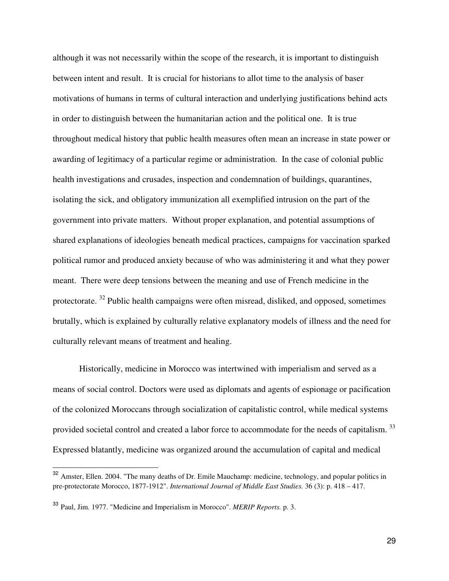although it was not necessarily within the scope of the research, it is important to distinguish between intent and result. It is crucial for historians to allot time to the analysis of baser motivations of humans in terms of cultural interaction and underlying justifications behind acts in order to distinguish between the humanitarian action and the political one. It is true throughout medical history that public health measures often mean an increase in state power or awarding of legitimacy of a particular regime or administration. In the case of colonial public health investigations and crusades, inspection and condemnation of buildings, quarantines, isolating the sick, and obligatory immunization all exemplified intrusion on the part of the government into private matters. Without proper explanation, and potential assumptions of shared explanations of ideologies beneath medical practices, campaigns for vaccination sparked political rumor and produced anxiety because of who was administering it and what they power meant. There were deep tensions between the meaning and use of French medicine in the protectorate. <sup>32</sup> Public health campaigns were often misread, disliked, and opposed, sometimes brutally, which is explained by culturally relative explanatory models of illness and the need for culturally relevant means of treatment and healing.

 Historically, medicine in Morocco was intertwined with imperialism and served as a means of social control. Doctors were used as diplomats and agents of espionage or pacification of the colonized Moroccans through socialization of capitalistic control, while medical systems provided societal control and created a labor force to accommodate for the needs of capitalism.<sup>33</sup> Expressed blatantly, medicine was organized around the accumulation of capital and medical

l.

<sup>&</sup>lt;sup>32</sup> Amster, Ellen. 2004. "The many deaths of Dr. Emile Mauchamp: medicine, technology, and popular politics in pre-protectorate Morocco, 1877-1912". *International Journal of Middle East Studies.* 36 (3): p. 418 – 417.

<sup>33</sup> Paul, Jim. 1977. "Medicine and Imperialism in Morocco". *MERIP Reports.* p. 3.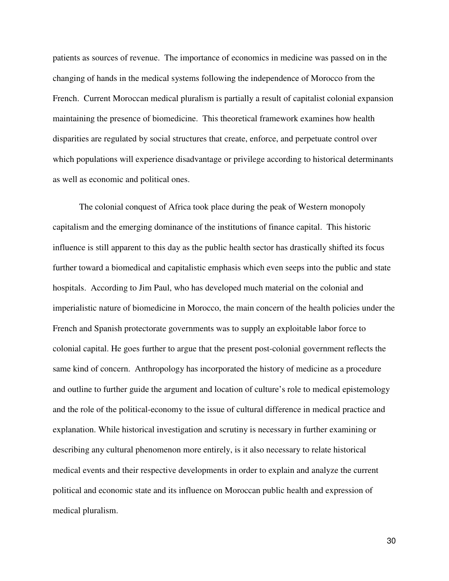patients as sources of revenue. The importance of economics in medicine was passed on in the changing of hands in the medical systems following the independence of Morocco from the French. Current Moroccan medical pluralism is partially a result of capitalist colonial expansion maintaining the presence of biomedicine. This theoretical framework examines how health disparities are regulated by social structures that create, enforce, and perpetuate control over which populations will experience disadvantage or privilege according to historical determinants as well as economic and political ones.

The colonial conquest of Africa took place during the peak of Western monopoly capitalism and the emerging dominance of the institutions of finance capital. This historic influence is still apparent to this day as the public health sector has drastically shifted its focus further toward a biomedical and capitalistic emphasis which even seeps into the public and state hospitals. According to Jim Paul, who has developed much material on the colonial and imperialistic nature of biomedicine in Morocco, the main concern of the health policies under the French and Spanish protectorate governments was to supply an exploitable labor force to colonial capital. He goes further to argue that the present post-colonial government reflects the same kind of concern. Anthropology has incorporated the history of medicine as a procedure and outline to further guide the argument and location of culture's role to medical epistemology and the role of the political-economy to the issue of cultural difference in medical practice and explanation. While historical investigation and scrutiny is necessary in further examining or describing any cultural phenomenon more entirely, is it also necessary to relate historical medical events and their respective developments in order to explain and analyze the current political and economic state and its influence on Moroccan public health and expression of medical pluralism.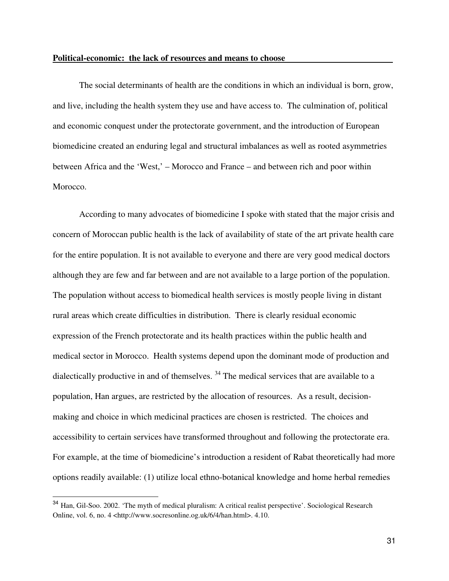#### **Political-economic: the lack of resources and means to choose -**

The social determinants of health are the conditions in which an individual is born, grow, and live, including the health system they use and have access to. The culmination of, political and economic conquest under the protectorate government, and the introduction of European biomedicine created an enduring legal and structural imbalances as well as rooted asymmetries between Africa and the 'West,' – Morocco and France – and between rich and poor within Morocco.

 According to many advocates of biomedicine I spoke with stated that the major crisis and concern of Moroccan public health is the lack of availability of state of the art private health care for the entire population. It is not available to everyone and there are very good medical doctors although they are few and far between and are not available to a large portion of the population. The population without access to biomedical health services is mostly people living in distant rural areas which create difficulties in distribution. There is clearly residual economic expression of the French protectorate and its health practices within the public health and medical sector in Morocco. Health systems depend upon the dominant mode of production and dialectically productive in and of themselves.  $34$  The medical services that are available to a population, Han argues, are restricted by the allocation of resources. As a result, decisionmaking and choice in which medicinal practices are chosen is restricted. The choices and accessibility to certain services have transformed throughout and following the protectorate era. For example, at the time of biomedicine's introduction a resident of Rabat theoretically had more options readily available: (1) utilize local ethno-botanical knowledge and home herbal remedies

L

<sup>34</sup> Han, Gil-Soo. 2002. 'The myth of medical pluralism: A critical realist perspective'. Sociological Research Online, vol. 6, no. 4 <http://www.socresonline.og.uk/6/4/han.html>. 4.10.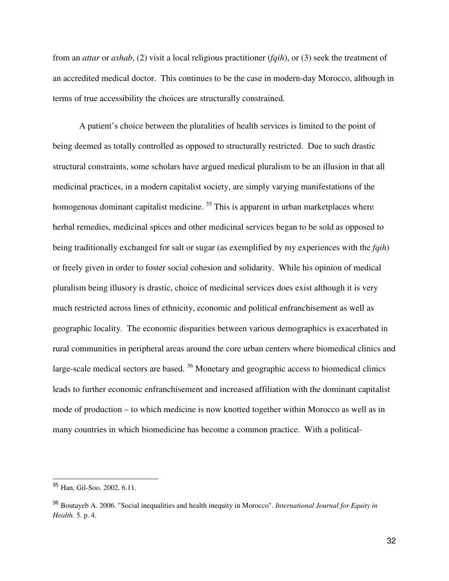from an *attar* or *ashab*, (2) visit a local religious practitioner (*fqih*), or (3) seek the treatment of an accredited medical doctor. This continues to be the case in modern-day Morocco, although in terms of true accessibility the choices are structurally constrained.

A patient's choice between the pluralities of health services is limited to the point of being deemed as totally controlled as opposed to structurally restricted. Due to such drastic structural constraints, some scholars have argued medical pluralism to be an illusion in that all medicinal practices, in a modern capitalist society, are simply varying manifestations of the homogenous dominant capitalist medicine.<sup>35</sup> This is apparent in urban marketplaces where herbal remedies, medicinal spices and other medicinal services began to be sold as opposed to being traditionally exchanged for salt or sugar (as exemplified by my experiences with the *fqih*) or freely given in order to foster social cohesion and solidarity. While his opinion of medical pluralism being illusory is drastic, choice of medicinal services does exist although it is very much restricted across lines of ethnicity, economic and political enfranchisement as well as geographic locality. The economic disparities between various demographics is exacerbated in rural communities in peripheral areas around the core urban centers where biomedical clinics and large-scale medical sectors are based.  $36$  Monetary and geographic access to biomedical clinics leads to further economic enfranchisement and increased affiliation with the dominant capitalist mode of production – to which medicine is now knotted together within Morocco as well as in many countries in which biomedicine has become a common practice. With a political-

L

<sup>35</sup> Han, Gil-Soo. 2002. 6.11.

<sup>36</sup> Boutayeb A. 2006. "Social inequalities and health inequity in Morocco". *International Journal for Equity in Health.* 5. p. 4.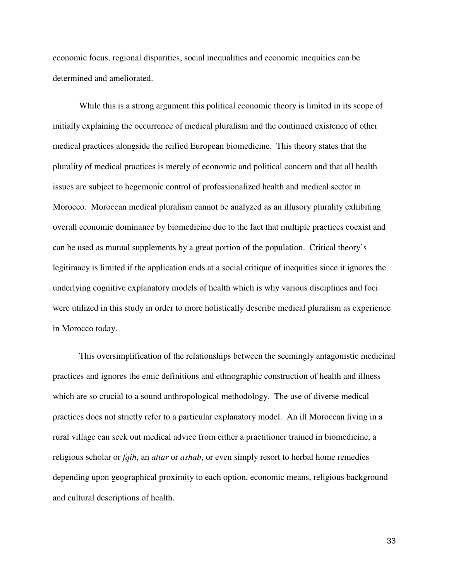economic focus, regional disparities, social inequalities and economic inequities can be determined and ameliorated.

While this is a strong argument this political economic theory is limited in its scope of initially explaining the occurrence of medical pluralism and the continued existence of other medical practices alongside the reified European biomedicine. This theory states that the plurality of medical practices is merely of economic and political concern and that all health issues are subject to hegemonic control of professionalized health and medical sector in Morocco. Moroccan medical pluralism cannot be analyzed as an illusory plurality exhibiting overall economic dominance by biomedicine due to the fact that multiple practices coexist and can be used as mutual supplements by a great portion of the population. Critical theory's legitimacy is limited if the application ends at a social critique of inequities since it ignores the underlying cognitive explanatory models of health which is why various disciplines and foci were utilized in this study in order to more holistically describe medical pluralism as experience in Morocco today.

This oversimplification of the relationships between the seemingly antagonistic medicinal practices and ignores the emic definitions and ethnographic construction of health and illness which are so crucial to a sound anthropological methodology. The use of diverse medical practices does not strictly refer to a particular explanatory model. An ill Moroccan living in a rural village can seek out medical advice from either a practitioner trained in biomedicine, a religious scholar or *fqih*, an *attar* or *ashab*, or even simply resort to herbal home remedies depending upon geographical proximity to each option, economic means, religious background and cultural descriptions of health.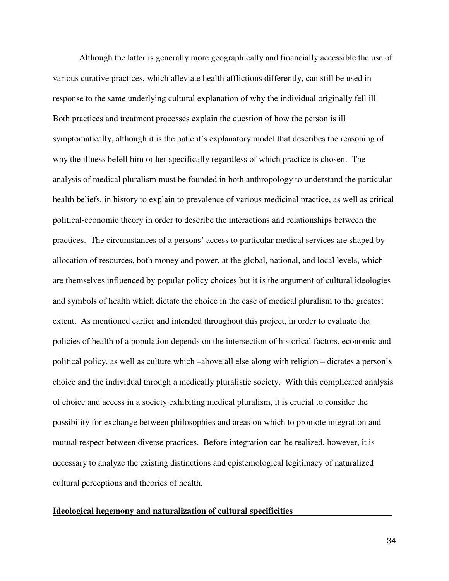Although the latter is generally more geographically and financially accessible the use of various curative practices, which alleviate health afflictions differently, can still be used in response to the same underlying cultural explanation of why the individual originally fell ill. Both practices and treatment processes explain the question of how the person is ill symptomatically, although it is the patient's explanatory model that describes the reasoning of why the illness befell him or her specifically regardless of which practice is chosen. The analysis of medical pluralism must be founded in both anthropology to understand the particular health beliefs, in history to explain to prevalence of various medicinal practice, as well as critical political-economic theory in order to describe the interactions and relationships between the practices. The circumstances of a persons' access to particular medical services are shaped by allocation of resources, both money and power, at the global, national, and local levels, which are themselves influenced by popular policy choices but it is the argument of cultural ideologies and symbols of health which dictate the choice in the case of medical pluralism to the greatest extent. As mentioned earlier and intended throughout this project, in order to evaluate the policies of health of a population depends on the intersection of historical factors, economic and political policy, as well as culture which –above all else along with religion – dictates a person's choice and the individual through a medically pluralistic society. With this complicated analysis of choice and access in a society exhibiting medical pluralism, it is crucial to consider the possibility for exchange between philosophies and areas on which to promote integration and mutual respect between diverse practices. Before integration can be realized, however, it is necessary to analyze the existing distinctions and epistemological legitimacy of naturalized cultural perceptions and theories of health.

#### **Ideological hegemony and naturalization of cultural specificities -**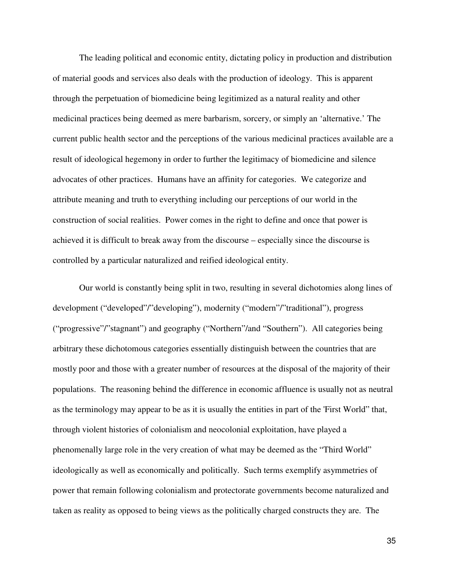The leading political and economic entity, dictating policy in production and distribution of material goods and services also deals with the production of ideology. This is apparent through the perpetuation of biomedicine being legitimized as a natural reality and other medicinal practices being deemed as mere barbarism, sorcery, or simply an 'alternative.' The current public health sector and the perceptions of the various medicinal practices available are a result of ideological hegemony in order to further the legitimacy of biomedicine and silence advocates of other practices. Humans have an affinity for categories. We categorize and attribute meaning and truth to everything including our perceptions of our world in the construction of social realities. Power comes in the right to define and once that power is achieved it is difficult to break away from the discourse – especially since the discourse is controlled by a particular naturalized and reified ideological entity.

 Our world is constantly being split in two, resulting in several dichotomies along lines of development ("developed"/"developing"), modernity ("modern"/"traditional"), progress ("progressive"/"stagnant") and geography ("Northern"/and "Southern"). All categories being arbitrary these dichotomous categories essentially distinguish between the countries that are mostly poor and those with a greater number of resources at the disposal of the majority of their populations. The reasoning behind the difference in economic affluence is usually not as neutral as the terminology may appear to be as it is usually the entities in part of the 'First World" that, through violent histories of colonialism and neocolonial exploitation, have played a phenomenally large role in the very creation of what may be deemed as the "Third World" ideologically as well as economically and politically. Such terms exemplify asymmetries of power that remain following colonialism and protectorate governments become naturalized and taken as reality as opposed to being views as the politically charged constructs they are. The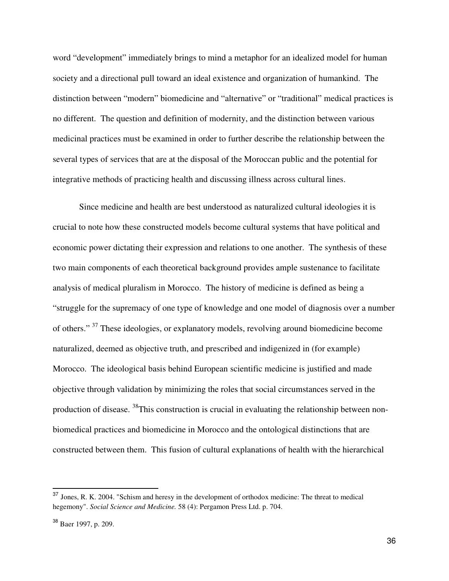word "development" immediately brings to mind a metaphor for an idealized model for human society and a directional pull toward an ideal existence and organization of humankind. The distinction between "modern" biomedicine and "alternative" or "traditional" medical practices is no different. The question and definition of modernity, and the distinction between various medicinal practices must be examined in order to further describe the relationship between the several types of services that are at the disposal of the Moroccan public and the potential for integrative methods of practicing health and discussing illness across cultural lines.

Since medicine and health are best understood as naturalized cultural ideologies it is crucial to note how these constructed models become cultural systems that have political and economic power dictating their expression and relations to one another. The synthesis of these two main components of each theoretical background provides ample sustenance to facilitate analysis of medical pluralism in Morocco. The history of medicine is defined as being a "struggle for the supremacy of one type of knowledge and one model of diagnosis over a number of others." <sup>37</sup> These ideologies, or explanatory models, revolving around biomedicine become naturalized, deemed as objective truth, and prescribed and indigenized in (for example) Morocco. The ideological basis behind European scientific medicine is justified and made objective through validation by minimizing the roles that social circumstances served in the production of disease. <sup>38</sup>This construction is crucial in evaluating the relationship between nonbiomedical practices and biomedicine in Morocco and the ontological distinctions that are constructed between them. This fusion of cultural explanations of health with the hierarchical

 $\overline{a}$ 

<sup>37</sup> Jones, R. K. 2004. "Schism and heresy in the development of orthodox medicine: The threat to medical hegemony". *Social Science and Medicine.* 58 (4): Pergamon Press Ltd. p. 704.

<sup>38</sup> Baer 1997, p. 209.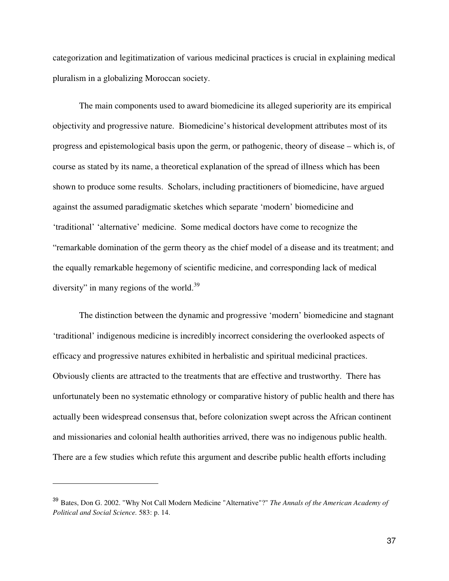categorization and legitimatization of various medicinal practices is crucial in explaining medical pluralism in a globalizing Moroccan society.

The main components used to award biomedicine its alleged superiority are its empirical objectivity and progressive nature. Biomedicine's historical development attributes most of its progress and epistemological basis upon the germ, or pathogenic, theory of disease – which is, of course as stated by its name, a theoretical explanation of the spread of illness which has been shown to produce some results. Scholars, including practitioners of biomedicine, have argued against the assumed paradigmatic sketches which separate 'modern' biomedicine and 'traditional' 'alternative' medicine. Some medical doctors have come to recognize the "remarkable domination of the germ theory as the chief model of a disease and its treatment; and the equally remarkable hegemony of scientific medicine, and corresponding lack of medical diversity" in many regions of the world.<sup>39</sup>

 The distinction between the dynamic and progressive 'modern' biomedicine and stagnant 'traditional' indigenous medicine is incredibly incorrect considering the overlooked aspects of efficacy and progressive natures exhibited in herbalistic and spiritual medicinal practices. Obviously clients are attracted to the treatments that are effective and trustworthy. There has unfortunately been no systematic ethnology or comparative history of public health and there has actually been widespread consensus that, before colonization swept across the African continent and missionaries and colonial health authorities arrived, there was no indigenous public health. There are a few studies which refute this argument and describe public health efforts including

 $\overline{a}$ 

<sup>39</sup> Bates, Don G. 2002. "Why Not Call Modern Medicine "Alternative"?" *The Annals of the American Academy of Political and Social Science.* 583: p. 14.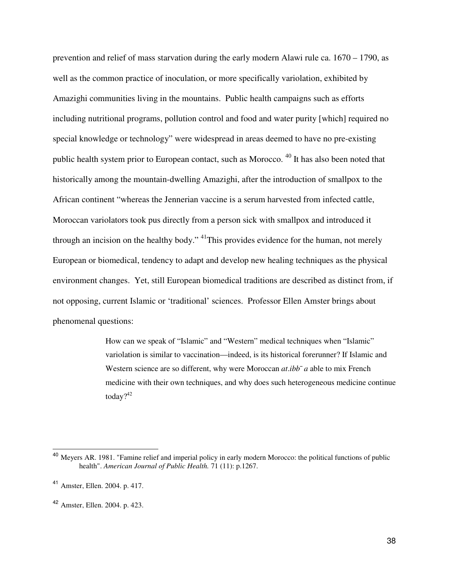prevention and relief of mass starvation during the early modern Alawi rule ca. 1670 – 1790, as well as the common practice of inoculation, or more specifically variolation, exhibited by Amazighi communities living in the mountains. Public health campaigns such as efforts including nutritional programs, pollution control and food and water purity [which] required no special knowledge or technology" were widespread in areas deemed to have no pre-existing public health system prior to European contact, such as Morocco. <sup>40</sup> It has also been noted that historically among the mountain-dwelling Amazighi, after the introduction of smallpox to the African continent "whereas the Jennerian vaccine is a serum harvested from infected cattle, Moroccan variolators took pus directly from a person sick with smallpox and introduced it through an incision on the healthy body." <sup>41</sup>This provides evidence for the human, not merely European or biomedical, tendency to adapt and develop new healing techniques as the physical environment changes. Yet, still European biomedical traditions are described as distinct from, if not opposing, current Islamic or 'traditional' sciences. Professor Ellen Amster brings about phenomenal questions:

> How can we speak of "Islamic" and "Western" medical techniques when "Islamic" variolation is similar to vaccination—indeed, is its historical forerunner? If Islamic and Western science are so different, why were Moroccan *at.ibb*<sup> $-$ </sup> *a* able to mix French medicine with their own techniques, and why does such heterogeneous medicine continue today?<sup>42</sup>

l.

<sup>&</sup>lt;sup>40</sup> Meyers AR. 1981. "Famine relief and imperial policy in early modern Morocco: the political functions of public health". *American Journal of Public Health.* 71 (11): p.1267.

<sup>41</sup> Amster, Ellen. 2004. p. 417.

<sup>42</sup> Amster, Ellen. 2004. p. 423.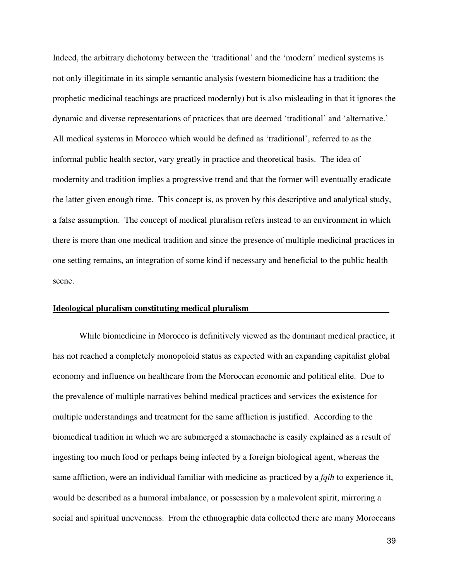Indeed, the arbitrary dichotomy between the 'traditional' and the 'modern' medical systems is not only illegitimate in its simple semantic analysis (western biomedicine has a tradition; the prophetic medicinal teachings are practiced modernly) but is also misleading in that it ignores the dynamic and diverse representations of practices that are deemed 'traditional' and 'alternative.' All medical systems in Morocco which would be defined as 'traditional', referred to as the informal public health sector, vary greatly in practice and theoretical basis. The idea of modernity and tradition implies a progressive trend and that the former will eventually eradicate the latter given enough time. This concept is, as proven by this descriptive and analytical study, a false assumption. The concept of medical pluralism refers instead to an environment in which there is more than one medical tradition and since the presence of multiple medicinal practices in one setting remains, an integration of some kind if necessary and beneficial to the public health scene.

#### **Ideological pluralism constituting medical pluralism -**

While biomedicine in Morocco is definitively viewed as the dominant medical practice, it has not reached a completely monopoloid status as expected with an expanding capitalist global economy and influence on healthcare from the Moroccan economic and political elite. Due to the prevalence of multiple narratives behind medical practices and services the existence for multiple understandings and treatment for the same affliction is justified. According to the biomedical tradition in which we are submerged a stomachache is easily explained as a result of ingesting too much food or perhaps being infected by a foreign biological agent, whereas the same affliction, were an individual familiar with medicine as practiced by a *fqih* to experience it, would be described as a humoral imbalance, or possession by a malevolent spirit, mirroring a social and spiritual unevenness. From the ethnographic data collected there are many Moroccans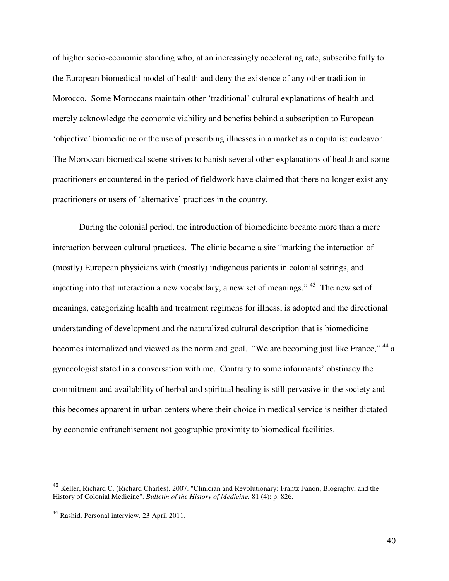of higher socio-economic standing who, at an increasingly accelerating rate, subscribe fully to the European biomedical model of health and deny the existence of any other tradition in Morocco. Some Moroccans maintain other 'traditional' cultural explanations of health and merely acknowledge the economic viability and benefits behind a subscription to European 'objective' biomedicine or the use of prescribing illnesses in a market as a capitalist endeavor. The Moroccan biomedical scene strives to banish several other explanations of health and some practitioners encountered in the period of fieldwork have claimed that there no longer exist any practitioners or users of 'alternative' practices in the country.

During the colonial period, the introduction of biomedicine became more than a mere interaction between cultural practices. The clinic became a site "marking the interaction of (mostly) European physicians with (mostly) indigenous patients in colonial settings, and injecting into that interaction a new vocabulary, a new set of meanings." <sup>43</sup> The new set of meanings, categorizing health and treatment regimens for illness, is adopted and the directional understanding of development and the naturalized cultural description that is biomedicine becomes internalized and viewed as the norm and goal. "We are becoming just like France," <sup>44</sup> a gynecologist stated in a conversation with me. Contrary to some informants' obstinacy the commitment and availability of herbal and spiritual healing is still pervasive in the society and this becomes apparent in urban centers where their choice in medical service is neither dictated by economic enfranchisement not geographic proximity to biomedical facilities.

l.

<sup>&</sup>lt;sup>43</sup> Keller, Richard C. (Richard Charles). 2007. "Clinician and Revolutionary: Frantz Fanon, Biography, and the History of Colonial Medicine". *Bulletin of the History of Medicine.* 81 (4): p. 826.

<sup>44</sup> Rashid. Personal interview. 23 April 2011.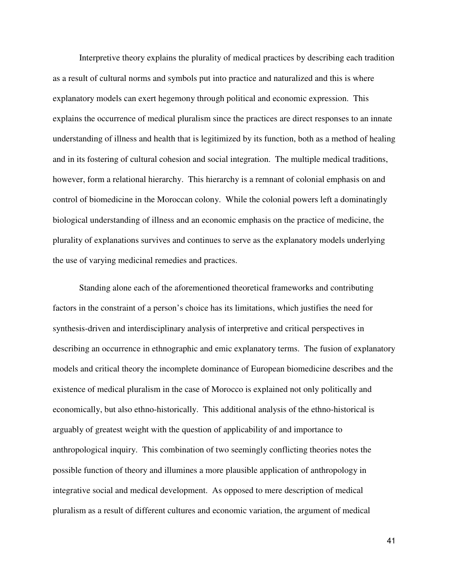Interpretive theory explains the plurality of medical practices by describing each tradition as a result of cultural norms and symbols put into practice and naturalized and this is where explanatory models can exert hegemony through political and economic expression. This explains the occurrence of medical pluralism since the practices are direct responses to an innate understanding of illness and health that is legitimized by its function, both as a method of healing and in its fostering of cultural cohesion and social integration. The multiple medical traditions, however, form a relational hierarchy. This hierarchy is a remnant of colonial emphasis on and control of biomedicine in the Moroccan colony. While the colonial powers left a dominatingly biological understanding of illness and an economic emphasis on the practice of medicine, the plurality of explanations survives and continues to serve as the explanatory models underlying the use of varying medicinal remedies and practices.

Standing alone each of the aforementioned theoretical frameworks and contributing factors in the constraint of a person's choice has its limitations, which justifies the need for synthesis-driven and interdisciplinary analysis of interpretive and critical perspectives in describing an occurrence in ethnographic and emic explanatory terms. The fusion of explanatory models and critical theory the incomplete dominance of European biomedicine describes and the existence of medical pluralism in the case of Morocco is explained not only politically and economically, but also ethno-historically. This additional analysis of the ethno-historical is arguably of greatest weight with the question of applicability of and importance to anthropological inquiry. This combination of two seemingly conflicting theories notes the possible function of theory and illumines a more plausible application of anthropology in integrative social and medical development. As opposed to mere description of medical pluralism as a result of different cultures and economic variation, the argument of medical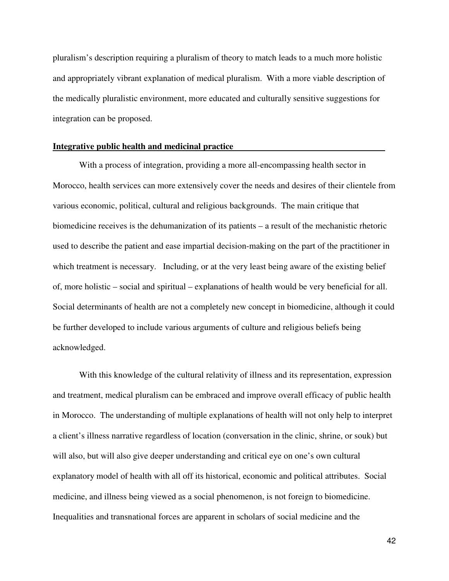pluralism's description requiring a pluralism of theory to match leads to a much more holistic and appropriately vibrant explanation of medical pluralism. With a more viable description of the medically pluralistic environment, more educated and culturally sensitive suggestions for integration can be proposed.

#### **Integrative public health and medicinal practice -**

 With a process of integration, providing a more all-encompassing health sector in Morocco, health services can more extensively cover the needs and desires of their clientele from various economic, political, cultural and religious backgrounds. The main critique that biomedicine receives is the dehumanization of its patients – a result of the mechanistic rhetoric used to describe the patient and ease impartial decision-making on the part of the practitioner in which treatment is necessary. Including, or at the very least being aware of the existing belief of, more holistic – social and spiritual – explanations of health would be very beneficial for all. Social determinants of health are not a completely new concept in biomedicine, although it could be further developed to include various arguments of culture and religious beliefs being acknowledged.

 With this knowledge of the cultural relativity of illness and its representation, expression and treatment, medical pluralism can be embraced and improve overall efficacy of public health in Morocco. The understanding of multiple explanations of health will not only help to interpret a client's illness narrative regardless of location (conversation in the clinic, shrine, or souk) but will also, but will also give deeper understanding and critical eye on one's own cultural explanatory model of health with all off its historical, economic and political attributes. Social medicine, and illness being viewed as a social phenomenon, is not foreign to biomedicine. Inequalities and transnational forces are apparent in scholars of social medicine and the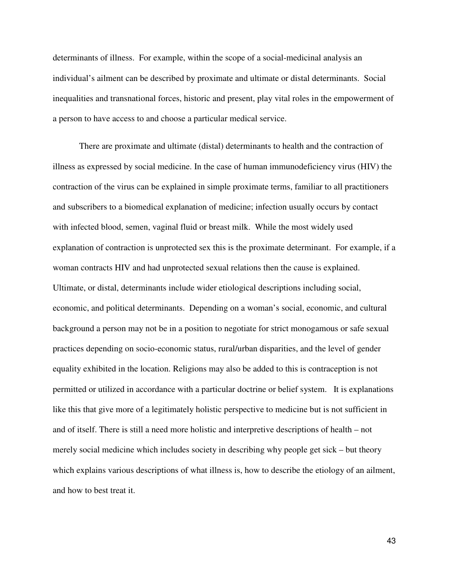determinants of illness. For example, within the scope of a social-medicinal analysis an individual's ailment can be described by proximate and ultimate or distal determinants.Social inequalities and transnational forces, historic and present, play vital roles in the empowerment of a person to have access to and choose a particular medical service.

 There are proximate and ultimate (distal) determinants to health and the contraction of illness as expressed by social medicine. In the case of human immunodeficiency virus (HIV) the contraction of the virus can be explained in simple proximate terms, familiar to all practitioners and subscribers to a biomedical explanation of medicine; infection usually occurs by contact with infected blood, semen, vaginal fluid or breast milk. While the most widely used explanation of contraction is unprotected sex this is the proximate determinant. For example, if a woman contracts HIV and had unprotected sexual relations then the cause is explained. Ultimate, or distal, determinants include wider etiological descriptions including social, economic, and political determinants. Depending on a woman's social, economic, and cultural background a person may not be in a position to negotiate for strict monogamous or safe sexual practices depending on socio-economic status, rural/urban disparities, and the level of gender equality exhibited in the location. Religions may also be added to this is contraception is not permitted or utilized in accordance with a particular doctrine or belief system. It is explanations like this that give more of a legitimately holistic perspective to medicine but is not sufficient in and of itself. There is still a need more holistic and interpretive descriptions of health – not merely social medicine which includes society in describing why people get sick – but theory which explains various descriptions of what illness is, how to describe the etiology of an ailment, and how to best treat it.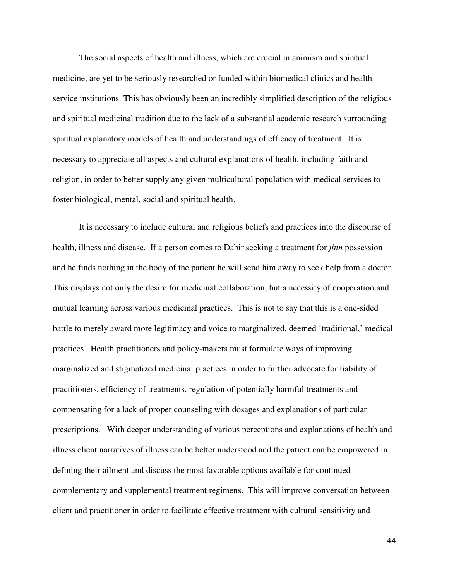The social aspects of health and illness, which are crucial in animism and spiritual medicine, are yet to be seriously researched or funded within biomedical clinics and health service institutions. This has obviously been an incredibly simplified description of the religious and spiritual medicinal tradition due to the lack of a substantial academic research surrounding spiritual explanatory models of health and understandings of efficacy of treatment. It is necessary to appreciate all aspects and cultural explanations of health, including faith and religion, in order to better supply any given multicultural population with medical services to foster biological, mental, social and spiritual health.

 It is necessary to include cultural and religious beliefs and practices into the discourse of health, illness and disease. If a person comes to Dabir seeking a treatment for *jinn* possession and he finds nothing in the body of the patient he will send him away to seek help from a doctor. This displays not only the desire for medicinal collaboration, but a necessity of cooperation and mutual learning across various medicinal practices. This is not to say that this is a one-sided battle to merely award more legitimacy and voice to marginalized, deemed 'traditional,' medical practices. Health practitioners and policy-makers must formulate ways of improving marginalized and stigmatized medicinal practices in order to further advocate for liability of practitioners, efficiency of treatments, regulation of potentially harmful treatments and compensating for a lack of proper counseling with dosages and explanations of particular prescriptions. With deeper understanding of various perceptions and explanations of health and illness client narratives of illness can be better understood and the patient can be empowered in defining their ailment and discuss the most favorable options available for continued complementary and supplemental treatment regimens. This will improve conversation between client and practitioner in order to facilitate effective treatment with cultural sensitivity and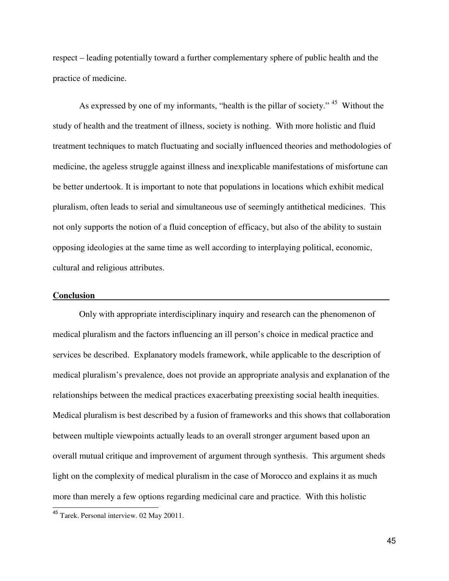respect – leading potentially toward a further complementary sphere of public health and the practice of medicine.

As expressed by one of my informants, "health is the pillar of society."<sup>45</sup> Without the study of health and the treatment of illness, society is nothing. With more holistic and fluid treatment techniques to match fluctuating and socially influenced theories and methodologies of medicine, the ageless struggle against illness and inexplicable manifestations of misfortune can be better undertook. It is important to note that populations in locations which exhibit medical pluralism, often leads to serial and simultaneous use of seemingly antithetical medicines. This not only supports the notion of a fluid conception of efficacy, but also of the ability to sustain opposing ideologies at the same time as well according to interplaying political, economic, cultural and religious attributes.

## **Conclusion -**

 Only with appropriate interdisciplinary inquiry and research can the phenomenon of medical pluralism and the factors influencing an ill person's choice in medical practice and services be described. Explanatory models framework, while applicable to the description of medical pluralism's prevalence, does not provide an appropriate analysis and explanation of the relationships between the medical practices exacerbating preexisting social health inequities. Medical pluralism is best described by a fusion of frameworks and this shows that collaboration between multiple viewpoints actually leads to an overall stronger argument based upon an overall mutual critique and improvement of argument through synthesis. This argument sheds light on the complexity of medical pluralism in the case of Morocco and explains it as much more than merely a few options regarding medicinal care and practice. With this holistic L

<sup>45</sup> Tarek. Personal interview. 02 May 20011.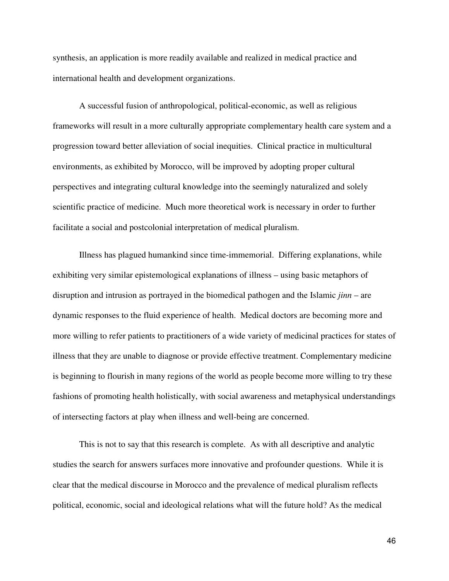synthesis, an application is more readily available and realized in medical practice and international health and development organizations.

A successful fusion of anthropological, political-economic, as well as religious frameworks will result in a more culturally appropriate complementary health care system and a progression toward better alleviation of social inequities. Clinical practice in multicultural environments, as exhibited by Morocco, will be improved by adopting proper cultural perspectives and integrating cultural knowledge into the seemingly naturalized and solely scientific practice of medicine. Much more theoretical work is necessary in order to further facilitate a social and postcolonial interpretation of medical pluralism.

Illness has plagued humankind since time-immemorial. Differing explanations, while exhibiting very similar epistemological explanations of illness – using basic metaphors of disruption and intrusion as portrayed in the biomedical pathogen and the Islamic *jinn* – are dynamic responses to the fluid experience of health. Medical doctors are becoming more and more willing to refer patients to practitioners of a wide variety of medicinal practices for states of illness that they are unable to diagnose or provide effective treatment. Complementary medicine is beginning to flourish in many regions of the world as people become more willing to try these fashions of promoting health holistically, with social awareness and metaphysical understandings of intersecting factors at play when illness and well-being are concerned.

This is not to say that this research is complete. As with all descriptive and analytic studies the search for answers surfaces more innovative and profounder questions. While it is clear that the medical discourse in Morocco and the prevalence of medical pluralism reflects political, economic, social and ideological relations what will the future hold? As the medical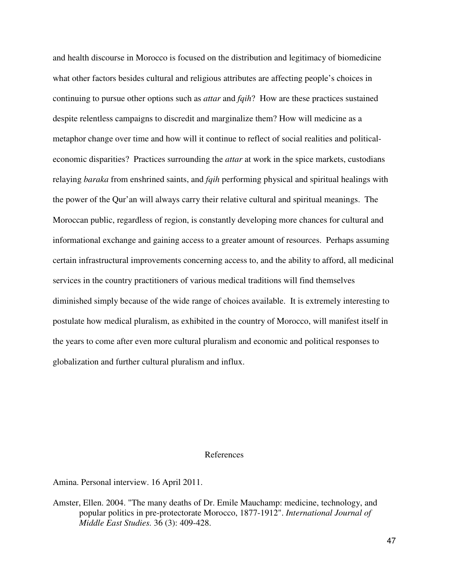and health discourse in Morocco is focused on the distribution and legitimacy of biomedicine what other factors besides cultural and religious attributes are affecting people's choices in continuing to pursue other options such as *attar* and *fqih*? How are these practices sustained despite relentless campaigns to discredit and marginalize them? How will medicine as a metaphor change over time and how will it continue to reflect of social realities and politicaleconomic disparities? Practices surrounding the *attar* at work in the spice markets, custodians relaying *baraka* from enshrined saints, and *fqih* performing physical and spiritual healings with the power of the Qur'an will always carry their relative cultural and spiritual meanings. The Moroccan public, regardless of region, is constantly developing more chances for cultural and informational exchange and gaining access to a greater amount of resources. Perhaps assuming certain infrastructural improvements concerning access to, and the ability to afford, all medicinal services in the country practitioners of various medical traditions will find themselves diminished simply because of the wide range of choices available. It is extremely interesting to postulate how medical pluralism, as exhibited in the country of Morocco, will manifest itself in the years to come after even more cultural pluralism and economic and political responses to globalization and further cultural pluralism and influx.

#### References

Amina. Personal interview. 16 April 2011.

Amster, Ellen. 2004. "The many deaths of Dr. Emile Mauchamp: medicine, technology, and popular politics in pre-protectorate Morocco, 1877-1912". *International Journal of Middle East Studies.* 36 (3): 409-428.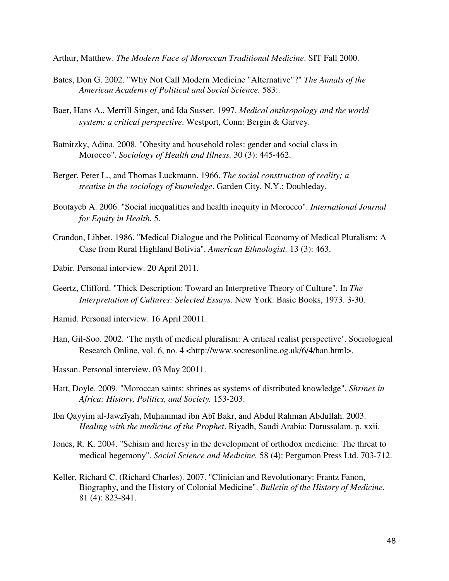Arthur, Matthew. *The Modern Face of Moroccan Traditional Medicine*. SIT Fall 2000.

- Bates, Don G. 2002. "Why Not Call Modern Medicine "Alternative"?" *The Annals of the American Academy of Political and Social Science.* 583:.
- Baer, Hans A., Merrill Singer, and Ida Susser. 1997. *Medical anthropology and the world system: a critical perspective*. Westport, Conn: Bergin & Garvey.
- Batnitzky, Adina. 2008. "Obesity and household roles: gender and social class in Morocco". *Sociology of Health and Illness.* 30 (3): 445-462.
- Berger, Peter L., and Thomas Luckmann. 1966. *The social construction of reality; a treatise in the sociology of knowledge*. Garden City, N.Y.: Doubleday.
- Boutayeb A. 2006. "Social inequalities and health inequity in Morocco". *International Journal for Equity in Health.* 5.
- Crandon, Libbet. 1986. "Medical Dialogue and the Political Economy of Medical Pluralism: A Case from Rural Highland Bolivia". *American Ethnologist.* 13 (3): 463.
- Dabir. Personal interview. 20 April 2011.
- Geertz, Clifford. "Thick Description: Toward an Interpretive Theory of Culture". In *The Interpretation of Cultures: Selected Essays*. New York: Basic Books, 1973. 3-30.
- Hamid. Personal interview. 16 April 20011.
- Han, Gil-Soo. 2002. 'The myth of medical pluralism: A critical realist perspective'. Sociological Research Online, vol. 6, no. 4 <http://www.socresonline.og.uk/6/4/han.html>.
- Hassan. Personal interview. 03 May 20011.
- Hatt, Doyle. 2009. "Moroccan saints: shrines as systems of distributed knowledge". *Shrines in Africa: History, Politics, and Society.* 153-203.
- Ibn Qayyim al-Jawzīyah, Muhammad ibn Abī Bakr, and Abdul Rahman Abdullah. 2003. *Healing with the medicine of the Prophet*. Riyadh, Saudi Arabia: Darussalam. p. xxii.
- Jones, R. K. 2004. "Schism and heresy in the development of orthodox medicine: The threat to medical hegemony". *Social Science and Medicine.* 58 (4): Pergamon Press Ltd. 703-712.
- Keller, Richard C. (Richard Charles). 2007. "Clinician and Revolutionary: Frantz Fanon, Biography, and the History of Colonial Medicine". *Bulletin of the History of Medicine.*  81 (4): 823-841.